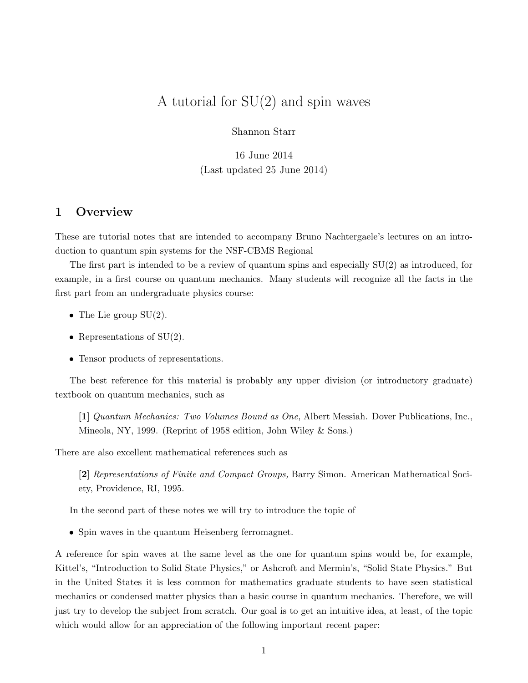# A tutorial for  $SU(2)$  and spin waves

Shannon Starr

16 June 2014 (Last updated 25 June 2014)

# 1 Overview

These are tutorial notes that are intended to accompany Bruno Nachtergaele's lectures on an introduction to quantum spin systems for the NSF-CBMS Regional

The first part is intended to be a review of quantum spins and especially  $SU(2)$  as introduced, for example, in a first course on quantum mechanics. Many students will recognize all the facts in the first part from an undergraduate physics course:

- The Lie group  $SU(2)$ .
- Representations of  $SU(2)$ .
- Tensor products of representations.

The best reference for this material is probably any upper division (or introductory graduate) textbook on quantum mechanics, such as

[1] Quantum Mechanics: Two Volumes Bound as One, Albert Messiah. Dover Publications, Inc., Mineola, NY, 1999. (Reprint of 1958 edition, John Wiley & Sons.)

There are also excellent mathematical references such as

[2] Representations of Finite and Compact Groups, Barry Simon. American Mathematical Society, Providence, RI, 1995.

In the second part of these notes we will try to introduce the topic of

• Spin waves in the quantum Heisenberg ferromagnet.

A reference for spin waves at the same level as the one for quantum spins would be, for example, Kittel's, "Introduction to Solid State Physics," or Ashcroft and Mermin's, "Solid State Physics." But in the United States it is less common for mathematics graduate students to have seen statistical mechanics or condensed matter physics than a basic course in quantum mechanics. Therefore, we will just try to develop the subject from scratch. Our goal is to get an intuitive idea, at least, of the topic which would allow for an appreciation of the following important recent paper: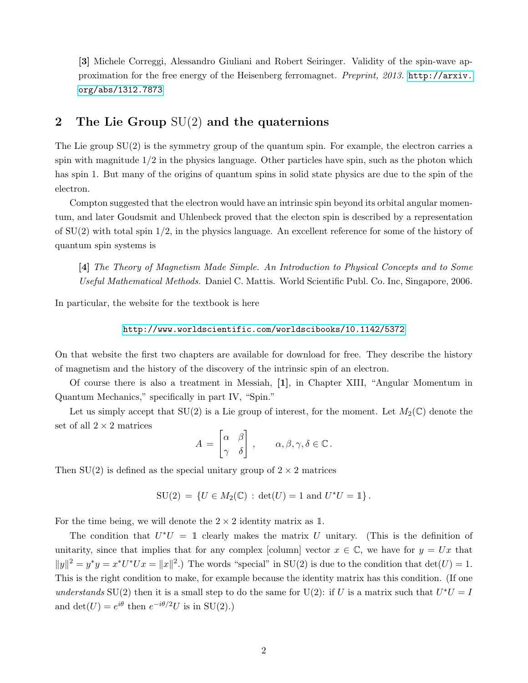[3] Michele Correggi, Alessandro Giuliani and Robert Seiringer. Validity of the spin-wave approximation for the free energy of the Heisenberg ferromagnet. Preprint, 2013. [http://arxiv.](http://arxiv.org/abs/1312.7873) [org/abs/1312.7873](http://arxiv.org/abs/1312.7873)

# 2 The Lie Group SU(2) and the quaternions

The Lie group SU(2) is the symmetry group of the quantum spin. For example, the electron carries a spin with magnitude  $1/2$  in the physics language. Other particles have spin, such as the photon which has spin 1. But many of the origins of quantum spins in solid state physics are due to the spin of the electron.

Compton suggested that the electron would have an intrinsic spin beyond its orbital angular momentum, and later Goudsmit and Uhlenbeck proved that the electon spin is described by a representation of  $SU(2)$  with total spin  $1/2$ , in the physics language. An excellent reference for some of the history of quantum spin systems is

[4] The Theory of Magnetism Made Simple. An Introduction to Physical Concepts and to Some Useful Mathematical Methods. Daniel C. Mattis. World Scientific Publ. Co. Inc, Singapore, 2006.

In particular, the website for the textbook is here

<http://www.worldscientific.com/worldscibooks/10.1142/5372>

On that website the first two chapters are available for download for free. They describe the history of magnetism and the history of the discovery of the intrinsic spin of an electron.

Of course there is also a treatment in Messiah, [1], in Chapter XIII, "Angular Momentum in Quantum Mechanics," specifically in part IV, "Spin."

Let us simply accept that  $SU(2)$  is a Lie group of interest, for the moment. Let  $M_2(\mathbb{C})$  denote the set of all  $2 \times 2$  matrices

$$
A = \begin{bmatrix} \alpha & \beta \\ \gamma & \delta \end{bmatrix}, \qquad \alpha, \beta, \gamma, \delta \in \mathbb{C}.
$$

Then  $SU(2)$  is defined as the special unitary group of  $2 \times 2$  matrices

$$
\mathrm{SU}(2) \,=\, \{U\in M_2({\mathbb C})\,:\, \det(U)=1\text{ and } U^*U=1\}\,.
$$

For the time being, we will denote the  $2 \times 2$  identity matrix as 1.

The condition that  $U^*U = \mathbb{1}$  clearly makes the matrix U unitary. (This is the definition of unitarity, since that implies that for any complex [column] vector  $x \in \mathbb{C}$ , we have for  $y = Ux$  that  $||y||^2 = y^*y = x^*U^*Ux = ||x||^2$ .) The words "special" in SU(2) is due to the condition that  $det(U) = 1$ . This is the right condition to make, for example because the identity matrix has this condition. (If one understands SU(2) then it is a small step to do the same for U(2): if U is a matrix such that  $U^*U = I$ and  $\det(U) = e^{i\theta}$  then  $e^{-i\theta/2}U$  is in SU(2).)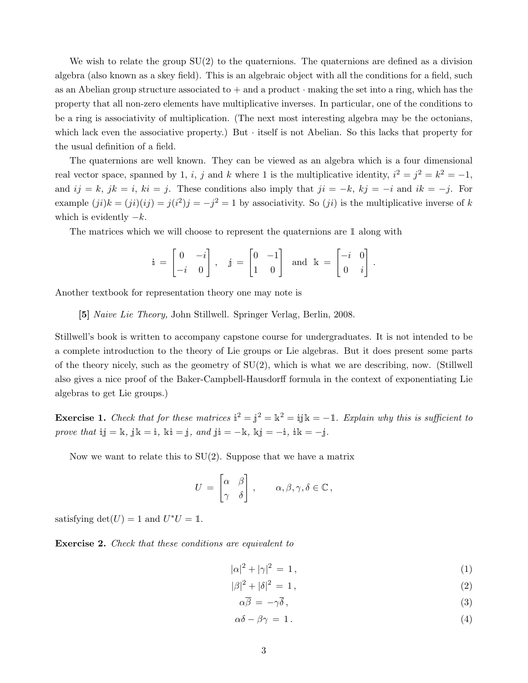We wish to relate the group  $SU(2)$  to the quaternions. The quaternions are defined as a division algebra (also known as a skey field). This is an algebraic object with all the conditions for a field, such as an Abelian group structure associated to  $+$  and a product  $\cdot$  making the set into a ring, which has the property that all non-zero elements have multiplicative inverses. In particular, one of the conditions to be a ring is associativity of multiplication. (The next most interesting algebra may be the octonians, which lack even the associative property.) But  $\cdot$  itself is not Abelian. So this lacks that property for the usual definition of a field.

The quaternions are well known. They can be viewed as an algebra which is a four dimensional real vector space, spanned by 1, i, j and k where 1 is the multiplicative identity,  $i^2 = j^2 = k^2 = -1$ , and  $ij = k$ ,  $jk = i$ ,  $ki = j$ . These conditions also imply that  $ji = -k$ ,  $kj = -i$  and  $ik = -j$ . For example  $(ji)k = (ji)(ij) = j(i^2)j = -j^2 = 1$  by associativity. So  $(ji)$  is the multiplicative inverse of k which is evidently  $-k$ .

The matrices which we will choose to represent the quaternions are 1 along with

$$
\mathbb{i} = \begin{bmatrix} 0 & -i \\ -i & 0 \end{bmatrix}, \quad \mathbb{j} = \begin{bmatrix} 0 & -1 \\ 1 & 0 \end{bmatrix} \text{ and } \mathbb{k} = \begin{bmatrix} -i & 0 \\ 0 & i \end{bmatrix}.
$$

Another textbook for representation theory one may note is

[5] Naive Lie Theory, John Stillwell. Springer Verlag, Berlin, 2008.

Stillwell's book is written to accompany capstone course for undergraduates. It is not intended to be a complete introduction to the theory of Lie groups or Lie algebras. But it does present some parts of the theory nicely, such as the geometry of SU(2), which is what we are describing, now. (Stillwell also gives a nice proof of the Baker-Campbell-Hausdorff formula in the context of exponentiating Lie algebras to get Lie groups.)

**Exercise 1.** Check that for these matrices  $\mathbf{i}^2 = \mathbf{j}^2 = \mathbf{k}^2 = \mathbf{i} \mathbf{j} \mathbf{k} = -\mathbf{1}$ . Explain why this is sufficient to prove that i $j = k$ ,  $jk = i$ ,  $ki = j$ ,  $and$   $ji = -k$ ,  $kj = -i$ ,  $ik = -j$ .

Now we want to relate this to SU(2). Suppose that we have a matrix

$$
U = \begin{bmatrix} \alpha & \beta \\ \gamma & \delta \end{bmatrix}, \qquad \alpha, \beta, \gamma, \delta \in \mathbb{C},
$$

satisfying  $\det(U) = 1$  and  $U^*U = \mathbb{1}$ .

**Exercise 2.** Check that these conditions are equivalent to

$$
|\alpha|^2 + |\gamma|^2 = 1,\t(1)
$$

$$
|\beta|^2 + |\delta|^2 = 1,\t\t(2)
$$

<span id="page-2-3"></span><span id="page-2-2"></span><span id="page-2-1"></span><span id="page-2-0"></span>
$$
\alpha \overline{\beta} = -\gamma \overline{\delta},\tag{3}
$$

$$
\alpha \delta - \beta \gamma = 1. \tag{4}
$$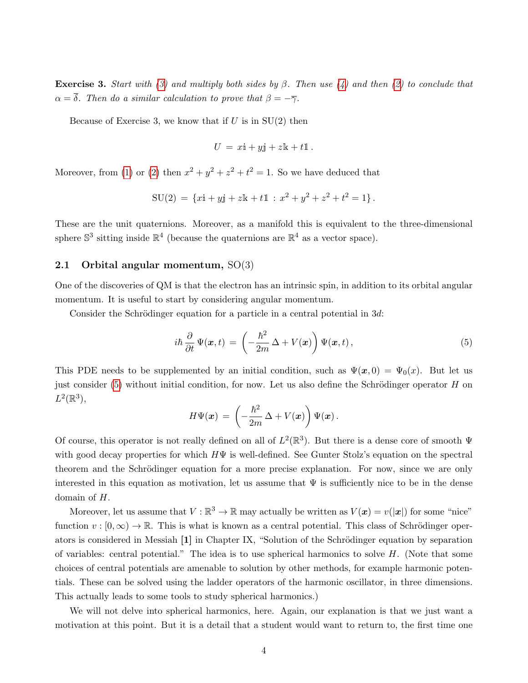Exercise 3. Start with [\(3\)](#page-2-0) and multiply both sides by  $\beta$ . Then use [\(4\)](#page-2-1) and then [\(2\)](#page-2-2) to conclude that  $\alpha = \overline{\delta}$ . Then do a similar calculation to prove that  $\beta = -\overline{\gamma}$ .

Because of Exercise 3, we know that if  $U$  is in  $SU(2)$  then

$$
U = x\mathbf{i} + y\mathbf{j} + z\mathbf{k} + t\mathbf{1}.
$$

Moreover, from [\(1\)](#page-2-3) or [\(2\)](#page-2-2) then  $x^2 + y^2 + z^2 + t^2 = 1$ . So we have deduced that

$$
SU(2) = \{xi + yj + zk + t1 : x^2 + y^2 + z^2 + t^2 = 1\}.
$$

These are the unit quaternions. Moreover, as a manifold this is equivalent to the three-dimensional sphere  $\mathbb{S}^3$  sitting inside  $\mathbb{R}^4$  (because the quaternions are  $\mathbb{R}^4$  as a vector space).

### 2.1 Orbital angular momentum, SO(3)

One of the discoveries of QM is that the electron has an intrinsic spin, in addition to its orbital angular momentum. It is useful to start by considering angular momentum.

Consider the Schrödinger equation for a particle in a central potential in  $3d$ :

<span id="page-3-0"></span>
$$
i\hbar \frac{\partial}{\partial t} \Psi(x,t) = \left(-\frac{\hbar^2}{2m} \Delta + V(x)\right) \Psi(x,t), \qquad (5)
$$

This PDE needs to be supplemented by an initial condition, such as  $\Psi(x, 0) = \Psi_0(x)$ . But let us just consider  $(5)$  without initial condition, for now. Let us also define the Schrödinger operator H on  $L^2(\mathbb{R}^3),$ 

$$
H \Psi({\boldsymbol x}) \,=\, \left(-\frac{\hbar^2}{2m} \,\Delta + V({\boldsymbol x})\right) \Psi({\boldsymbol x})\,.
$$

Of course, this operator is not really defined on all of  $L^2(\mathbb{R}^3)$ . But there is a dense core of smooth  $\Psi$ with good decay properties for which  $H\Psi$  is well-defined. See Gunter Stolz's equation on the spectral theorem and the Schrödinger equation for a more precise explanation. For now, since we are only interested in this equation as motivation, let us assume that  $\Psi$  is sufficiently nice to be in the dense domain of H.

Moreover, let us assume that  $V : \mathbb{R}^3 \to \mathbb{R}$  may actually be written as  $V(x) = v(|x|)$  for some "nice" function  $v : [0, \infty) \to \mathbb{R}$ . This is what is known as a central potential. This class of Schrödinger operators is considered in Messiah [1] in Chapter IX, "Solution of the Schrödinger equation by separation of variables: central potential." The idea is to use spherical harmonics to solve  $H$ . (Note that some choices of central potentials are amenable to solution by other methods, for example harmonic potentials. These can be solved using the ladder operators of the harmonic oscillator, in three dimensions. This actually leads to some tools to study spherical harmonics.)

We will not delve into spherical harmonics, here. Again, our explanation is that we just want a motivation at this point. But it is a detail that a student would want to return to, the first time one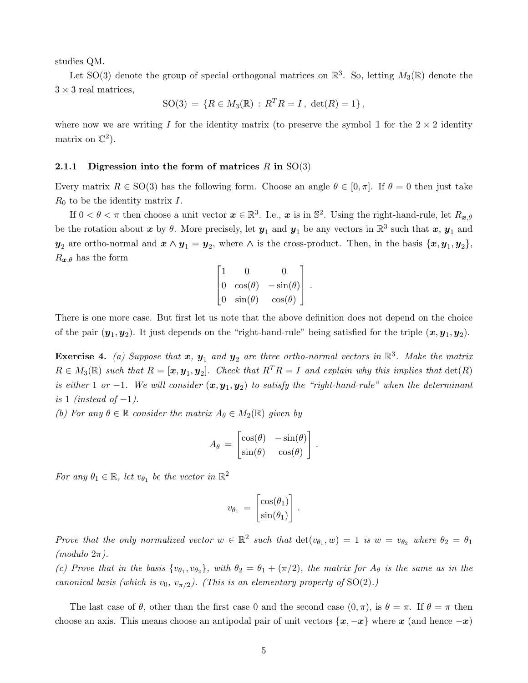studies QM.

Let SO(3) denote the group of special orthogonal matrices on  $\mathbb{R}^3$ . So, letting  $M_3(\mathbb{R})$  denote the  $3 \times 3$  real matrices,

$$
SO(3) = \{ R \in M_3(\mathbb{R}) : R^T R = I, det(R) = 1 \},
$$

where now we are writing I for the identity matrix (to preserve the symbol  $\mathbb{I}$  for the  $2 \times 2$  identity matrix on  $\mathbb{C}^2$ ).

### 2.1.1 Digression into the form of matrices  $R$  in  $SO(3)$

Every matrix  $R \in SO(3)$  has the following form. Choose an angle  $\theta \in [0, \pi]$ . If  $\theta = 0$  then just take  $R_0$  to be the identity matrix  $I$ .

If  $0 < \theta < \pi$  then choose a unit vector  $\boldsymbol{x} \in \mathbb{R}^3$ . I.e.,  $\boldsymbol{x}$  is in  $\mathbb{S}^2$ . Using the right-hand-rule, let  $R_{\boldsymbol{x},\theta}$ be the rotation about  $x$  by  $\theta$ . More precisely, let  $y_1$  and  $y_1$  be any vectors in  $\mathbb{R}^3$  such that  $x, y_1$  and  $y_2$  are ortho-normal and  $x \wedge y_1 = y_2$ , where  $\wedge$  is the cross-product. Then, in the basis  $\{x, y_1, y_2\}$ ,  $R_{\boldsymbol{x},\theta}$  has the form

$$
\begin{bmatrix} 1 & 0 & 0 \ 0 & \cos(\theta) & -\sin(\theta) \\ 0 & \sin(\theta) & \cos(\theta) \end{bmatrix}.
$$

There is one more case. But first let us note that the above definition does not depend on the choice of the pair  $(y_1, y_2)$ . It just depends on the "right-hand-rule" being satisfied for the triple  $(x, y_1, y_2)$ .

**Exercise 4.** (a) Suppose that  $x$ ,  $y_1$  and  $y_2$  are three ortho-normal vectors in  $\mathbb{R}^3$ . Make the matrix  $R \in M_3(\mathbb{R})$  such that  $R = [\mathbf{x}, \mathbf{y}_1, \mathbf{y}_2]$ . Check that  $R^T R = I$  and explain why this implies that  $\det(R)$ is either 1 or -1. We will consider  $(x, y_1, y_2)$  to satisfy the "right-hand-rule" when the determinant is 1 (instead of  $-1$ ).

(b) For any  $\theta \in \mathbb{R}$  consider the matrix  $A_{\theta} \in M_2(\mathbb{R})$  given by

$$
A_{\theta} = \begin{bmatrix} \cos(\theta) & -\sin(\theta) \\ \sin(\theta) & \cos(\theta) \end{bmatrix}.
$$

For any  $\theta_1 \in \mathbb{R}$ , let  $v_{\theta_1}$  be the vector in  $\mathbb{R}^2$ 

$$
v_{\theta_1} = \begin{bmatrix} \cos(\theta_1) \\ \sin(\theta_1) \end{bmatrix}.
$$

Prove that the only normalized vector  $w \in \mathbb{R}^2$  such that  $\det(v_{\theta_1}, w) = 1$  is  $w = v_{\theta_2}$  where  $\theta_2 = \theta_1$  $(modulo 2\pi).$ 

(c) Prove that in the basis  $\{v_{\theta_1}, v_{\theta_2}\}\$ , with  $\theta_2 = \theta_1 + (\pi/2)$ , the matrix for  $A_\theta$  is the same as in the canonical basis (which is  $v_0$ ,  $v_{\pi/2}$ ). (This is an elementary property of SO(2).)

The last case of  $\theta$ , other than the first case 0 and the second case  $(0, \pi)$ , is  $\theta = \pi$ . If  $\theta = \pi$  then choose an axis. This means choose an antipodal pair of unit vectors  $\{x, -x\}$  where x (and hence  $-x$ )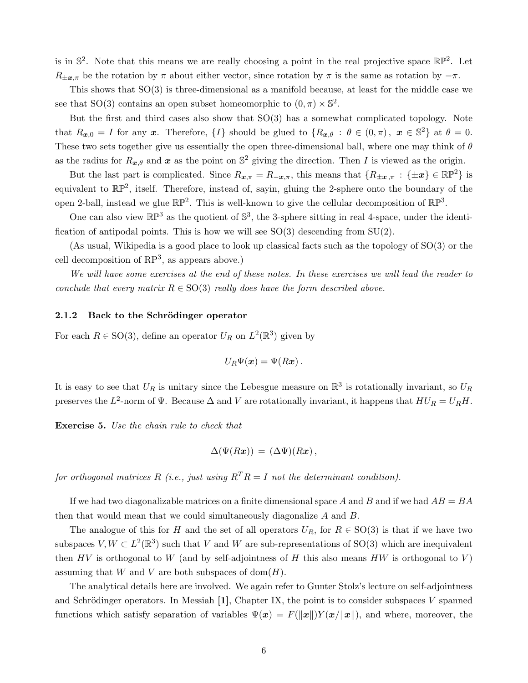is in  $\mathbb{S}^2$ . Note that this means we are really choosing a point in the real projective space  $\mathbb{RP}^2$ . Let  $R_{\pm x,\pi}$  be the rotation by  $\pi$  about either vector, since rotation by  $\pi$  is the same as rotation by  $-\pi$ .

This shows that SO(3) is three-dimensional as a manifold because, at least for the middle case we see that SO(3) contains an open subset homeomorphic to  $(0, \pi) \times \mathbb{S}^2$ .

But the first and third cases also show that  $SO(3)$  has a somewhat complicated topology. Note that  $R_{x,0} = I$  for any x. Therefore,  $\{I\}$  should be glued to  $\{R_{x,\theta} : \theta \in (0,\pi), \ x \in \mathbb{S}^2\}$  at  $\theta = 0$ . These two sets together give us essentially the open three-dimensional ball, where one may think of  $\theta$ as the radius for  $R_{x,\theta}$  and x as the point on  $\mathbb{S}^2$  giving the direction. Then I is viewed as the origin.

But the last part is complicated. Since  $R_{x,\pi} = R_{-x,\pi}$ , this means that  $\{R_{\pm x,\pi} : {\pm x} \in \mathbb{RP}^2\}$  is equivalent to  $\mathbb{RP}^2$ , itself. Therefore, instead of, sayin, gluing the 2-sphere onto the boundary of the open 2-ball, instead we glue  $\mathbb{RP}^2$ . This is well-known to give the cellular decomposition of  $\mathbb{RP}^3$ .

One can also view  $\mathbb{RP}^3$  as the quotient of  $\mathbb{S}^3$ , the 3-sphere sitting in real 4-space, under the identification of antipodal points. This is how we will see  $SO(3)$  descending from  $SU(2)$ .

(As usual, Wikipedia is a good place to look up classical facts such as the topology of SO(3) or the cell decomposition of  $RP^3$ , as appears above.)

We will have some exercises at the end of these notes. In these exercises we will lead the reader to conclude that every matrix  $R \in SO(3)$  really does have the form described above.

#### 2.1.2 Back to the Schrödinger operator

For each  $R \in SO(3)$ , define an operator  $U_R$  on  $L^2(\mathbb{R}^3)$  given by

$$
U_R \Psi(\boldsymbol{x}) = \Psi(R\boldsymbol{x})\,.
$$

It is easy to see that  $U_R$  is unitary since the Lebesgue measure on  $\mathbb{R}^3$  is rotationally invariant, so  $U_R$ preserves the  $L^2$ -norm of  $\Psi$ . Because  $\Delta$  and V are rotationally invariant, it happens that  $HU_R = U_RH$ .

Exercise 5. Use the chain rule to check that

$$
\Delta(\Psi(Rx)) = (\Delta\Psi)(Rx) ,
$$

for orthogonal matrices R (i.e., just using  $R^{T}R = I$  not the determinant condition).

If we had two diagonalizable matrices on a finite dimensional space A and B and if we had  $AB = BA$ then that would mean that we could simultaneously diagonalize A and B.

The analogue of this for H and the set of all operators  $U_R$ , for  $R \in SO(3)$  is that if we have two subspaces  $V, W \subset L^2(\mathbb{R}^3)$  such that V and W are sub-representations of SO(3) which are inequivalent then HV is orthogonal to W (and by self-adjointness of H this also means HW is orthogonal to V) assuming that W and V are both subspaces of  $dom(H)$ .

The analytical details here are involved. We again refer to Gunter Stolz's lecture on self-adjointness and Schrödinger operators. In Messiah  $[1]$ , Chapter IX, the point is to consider subspaces V spanned functions which satisfy separation of variables  $\Psi(x) = F(||x||)Y(x/||x||)$ , and where, moreover, the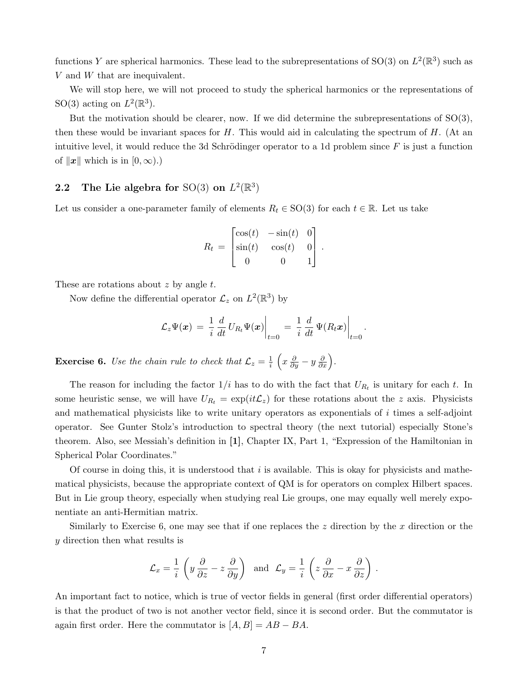functions Y are spherical harmonics. These lead to the subrepresentations of SO(3) on  $L^2(\mathbb{R}^3)$  such as V and W that are inequivalent.

We will stop here, we will not proceed to study the spherical harmonics or the representations of SO(3) acting on  $L^2(\mathbb{R}^3)$ .

But the motivation should be clearer, now. If we did determine the subrepresentations of  $SO(3)$ , then these would be invariant spaces for  $H$ . This would aid in calculating the spectrum of  $H$ . (At an intuitive level, it would reduce the 3d Schrödinger operator to a 1d problem since  $F$  is just a function of  $\|\boldsymbol{x}\|$  which is in  $[0, \infty)$ .)

# 2.2 The Lie algebra for SO(3) on  $L^2(\mathbb{R}^3)$

Let us consider a one-parameter family of elements  $R_t \in SO(3)$  for each  $t \in \mathbb{R}$ . Let us take

$$
R_t = \begin{bmatrix} \cos(t) & -\sin(t) & 0 \\ \sin(t) & \cos(t) & 0 \\ 0 & 0 & 1 \end{bmatrix}.
$$

These are rotations about  $z$  by angle  $t$ .

Now define the differential operator  $\mathcal{L}_z$  on  $L^2(\mathbb{R}^3)$  by

$$
\mathcal{L}_z \Psi(\boldsymbol{x})\,=\,\frac{1}{i}\,\frac{d}{dt}\,U_{R_t} \Psi(\boldsymbol{x})\bigg|_{t=0}\,=\,\frac{1}{i}\,\frac{d}{dt}\,\Psi(R_t \boldsymbol{x})\bigg|_{t=0}\,.
$$

**Exercise 6.** Use the chain rule to check that  $\mathcal{L}_z = \frac{1}{i}$  $\frac{1}{i}\left(x\frac{\partial}{\partial y}-y\frac{\partial}{\partial x}\right).$ 

The reason for including the factor  $1/i$  has to do with the fact that  $U_{R_t}$  is unitary for each t. In some heuristic sense, we will have  $U_{R_t} = \exp(it\mathcal{L}_z)$  for these rotations about the z axis. Physicists and mathematical physicists like to write unitary operators as exponentials of i times a self-adjoint operator. See Gunter Stolz's introduction to spectral theory (the next tutorial) especially Stone's theorem. Also, see Messiah's definition in [1], Chapter IX, Part 1, "Expression of the Hamiltonian in Spherical Polar Coordinates."

Of course in doing this, it is understood that  $i$  is available. This is okay for physicists and mathematical physicists, because the appropriate context of QM is for operators on complex Hilbert spaces. But in Lie group theory, especially when studying real Lie groups, one may equally well merely exponentiate an anti-Hermitian matrix.

Similarly to Exercise 6, one may see that if one replaces the  $z$  direction by the  $x$  direction or the y direction then what results is

$$
\mathcal{L}_x = \frac{1}{i} \left( y \frac{\partial}{\partial z} - z \frac{\partial}{\partial y} \right) \text{ and } \mathcal{L}_y = \frac{1}{i} \left( z \frac{\partial}{\partial x} - x \frac{\partial}{\partial z} \right).
$$

An important fact to notice, which is true of vector fields in general (first order differential operators) is that the product of two is not another vector field, since it is second order. But the commutator is again first order. Here the commutator is  $[A, B] = AB - BA$ .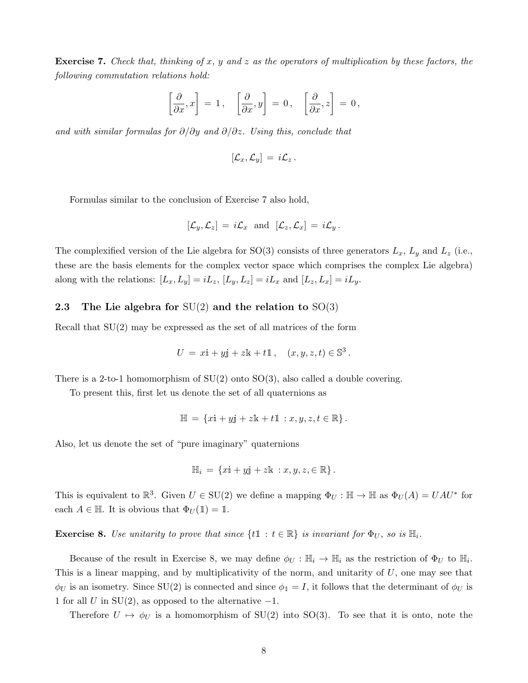**Exercise 7.** Check that, thinking of x, y and z as the operators of multiplication by these factors, the following commutation relations hold:

$$
\left[\frac{\partial}{\partial x}, x\right] = 1, \quad \left[\frac{\partial}{\partial x}, y\right] = 0, \quad \left[\frac{\partial}{\partial x}, z\right] = 0,
$$

and with similar formulas for  $\partial/\partial y$  and  $\partial/\partial z$ . Using this, conclude that

$$
[\mathcal{L}_x,\mathcal{L}_y]\,=\,i\mathcal{L}_z\,.
$$

Formulas similar to the conclusion of Exercise 7 also hold,

$$
[\mathcal{L}_y, \mathcal{L}_z] = i \mathcal{L}_x \text{ and } [\mathcal{L}_z, \mathcal{L}_x] = i \mathcal{L}_y.
$$

The complexified version of the Lie algebra for SO(3) consists of three generators  $L_x$ ,  $L_y$  and  $L_z$  (i.e., these are the basis elements for the complex vector space which comprises the complex Lie algebra) along with the relations:  $[L_x, L_y] = iL_z$ ,  $[L_y, L_z] = iL_x$  and  $[L_z, L_x] = iL_y$ .

### 2.3 The Lie algebra for  $SU(2)$  and the relation to  $SO(3)$

Recall that  $SU(2)$  may be expressed as the set of all matrices of the form

$$
U = x\mathbf{i} + y\mathbf{j} + z\mathbf{k} + t\mathbb{1}, \quad (x, y, z, t) \in \mathbb{S}^3.
$$

There is a 2-to-1 homomorphism of  $SU(2)$  onto  $SO(3)$ , also called a double covering.

To present this, first let us denote the set of all quaternions as

$$
\mathbb{H} = \{x\mathbf{i} + y\mathbf{j} + z\mathbf{k} + t\mathbb{1} : x, y, z, t \in \mathbb{R}\}.
$$

Also, let us denote the set of "pure imaginary" quaternions

$$
\mathbb{H}_i = \{x\mathbf{i} + y\mathbf{j} + z\mathbf{k} : x, y, z, \in \mathbb{R}\}.
$$

This is equivalent to  $\mathbb{R}^3$ . Given  $U \in SU(2)$  we define a mapping  $\Phi_U : \mathbb{H} \to \mathbb{H}$  as  $\Phi_U(A) = UAU^*$  for each  $A \in \mathbb{H}$ . It is obvious that  $\Phi_U(\mathbb{1}) = \mathbb{1}$ .

**Exercise 8.** Use unitarity to prove that since  $\{t\mathbb{1} : t \in \mathbb{R}\}\$ is invariant for  $\Phi_U$ , so is  $\mathbb{H}_i$ .

Because of the result in Exercise 8, we may define  $\phi_U : \mathbb{H}_i \to \mathbb{H}_i$  as the restriction of  $\Phi_U$  to  $\mathbb{H}_i$ . This is a linear mapping, and by multiplicativity of the norm, and unitarity of U, one may see that  $\phi_U$  is an isometry. Since SU(2) is connected and since  $\phi_1 = I$ , it follows that the determinant of  $\phi_U$  is 1 for all U in  $SU(2)$ , as opposed to the alternative  $-1$ .

Therefore  $U \mapsto \phi_U$  is a homomorphism of SU(2) into SO(3). To see that it is onto, note the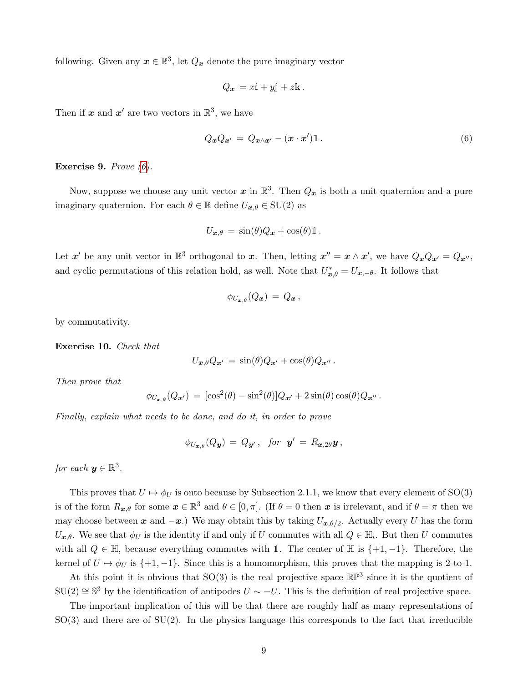following. Given any  $x \in \mathbb{R}^3$ , let  $Q_x$  denote the pure imaginary vector

$$
Q_x = x\mathbf{i} + y\mathbf{j} + z\mathbf{k}.
$$

Then if  $x$  and  $x'$  are two vectors in  $\mathbb{R}^3$ , we have

<span id="page-8-0"></span>
$$
Q_{\boldsymbol{x}}Q_{\boldsymbol{x}'} = Q_{\boldsymbol{x}\wedge\boldsymbol{x}'} - (\boldsymbol{x}\cdot\boldsymbol{x}')\mathbb{1} \,. \tag{6}
$$

Exercise 9. Prove [\(6\)](#page-8-0).

Now, suppose we choose any unit vector  $x$  in  $\mathbb{R}^3$ . Then  $Q_x$  is both a unit quaternion and a pure imaginary quaternion. For each  $\theta \in \mathbb{R}$  define  $U_{\boldsymbol{x},\theta} \in \mathrm{SU}(2)$  as

$$
U_{\boldsymbol{x},\theta} = \sin(\theta)Q_{\boldsymbol{x}} + \cos(\theta)\mathbb{1}.
$$

Let  $x'$  be any unit vector in  $\mathbb{R}^3$  orthogonal to x. Then, letting  $x'' = x \wedge x'$ , we have  $Q_x Q_{x'} = Q_{x''}$ , and cyclic permutations of this relation hold, as well. Note that  $U^*_{x,\theta} = U_{x,-\theta}$ . It follows that

$$
\phi_{U_{\boldsymbol{x},\theta}}(Q_{\boldsymbol{x}}) \,=\, Q_{\boldsymbol{x}}\,,
$$

by commutativity.

Exercise 10. Check that

$$
U_{\boldsymbol{x},\theta}Q_{\boldsymbol{x}'}=\sin(\theta)Q_{\boldsymbol{x}'}+\cos(\theta)Q_{\boldsymbol{x}''}.
$$

Then prove that

$$
\phi_{U_{\boldsymbol{x},\theta}}(Q_{\boldsymbol{x}'}) = [\cos^2(\theta) - \sin^2(\theta)]Q_{\boldsymbol{x}'} + 2\sin(\theta)\cos(\theta)Q_{\boldsymbol{x}''}.
$$

Finally, explain what needs to be done, and do it, in order to prove

$$
\phi_{U_{\boldsymbol{x},\theta}}(Q_{\boldsymbol{y}}) = Q_{\boldsymbol{y}'}, \ \ \text{for} \ \ {\boldsymbol{y}}' = R_{\boldsymbol{x},2\theta}\boldsymbol{y},
$$

for each  $y \in \mathbb{R}^3$ .

This proves that  $U \mapsto \phi_U$  is onto because by Subsection 2.1.1, we know that every element of SO(3) is of the form  $R_{x,\theta}$  for some  $x \in \mathbb{R}^3$  and  $\theta \in [0,\pi]$ . (If  $\theta = 0$  then x is irrelevant, and if  $\theta = \pi$  then we may choose between x and  $-x$ .) We may obtain this by taking  $U_{x,\theta/2}$ . Actually every U has the form  $U_{\bm{x},\theta}$ . We see that  $\phi_U$  is the identity if and only if U commutes with all  $Q \in \mathbb{H}_i$ . But then U commutes with all  $Q \in \mathbb{H}$ , because everything commutes with 1. The center of  $\mathbb{H}$  is  $\{+1, -1\}$ . Therefore, the kernel of  $U \mapsto \phi_U$  is  $\{+1, -1\}$ . Since this is a homomorphism, this proves that the mapping is 2-to-1.

At this point it is obvious that  $SO(3)$  is the real projective space  $\mathbb{RP}^3$  since it is the quotient of  $SU(2) \cong \mathbb{S}^3$  by the identification of antipodes  $U \sim -U$ . This is the definition of real projective space.

The important implication of this will be that there are roughly half as many representations of  $SO(3)$  and there are of  $SU(2)$ . In the physics language this corresponds to the fact that irreducible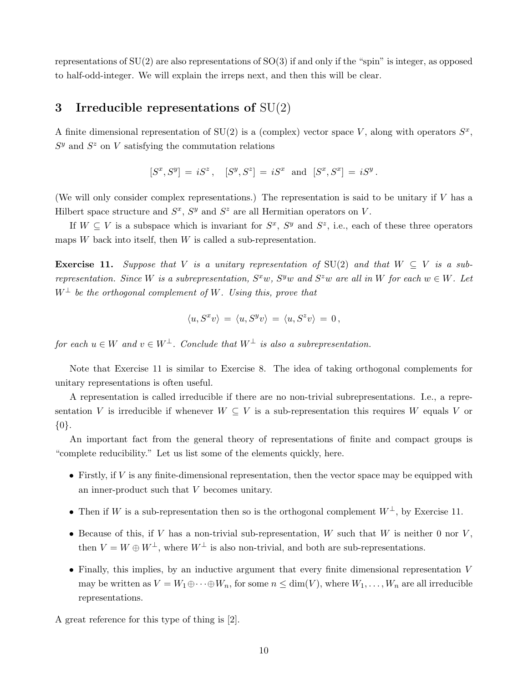representations of SU(2) are also representations of SO(3) if and only if the "spin" is integer, as opposed to half-odd-integer. We will explain the irreps next, and then this will be clear.

# 3 Irreducible representations of  $SU(2)$

A finite dimensional representation of  $SU(2)$  is a (complex) vector space V, along with operators  $S^x$ ,  $S<sup>y</sup>$  and  $S<sup>z</sup>$  on V satisfying the commutation relations

$$
[S^x, S^y] = iS^z
$$
,  $[S^y, S^z] = iS^x$  and  $[S^x, S^x] = iS^y$ .

(We will only consider complex representations.) The representation is said to be unitary if V has a Hilbert space structure and  $S^x$ ,  $S^y$  and  $S^z$  are all Hermitian operators on V.

If  $W \subseteq V$  is a subspace which is invariant for  $S^x$ ,  $S^y$  and  $S^z$ , i.e., each of these three operators maps  $W$  back into itself, then  $W$  is called a sub-representation.

**Exercise 11.** Suppose that V is a unitary representation of SU(2) and that  $W \subseteq V$  is a subrepresentation. Since W is a subrepresentation,  $S^x w$ ,  $S^y w$  and  $S^z w$  are all in W for each  $w \in W$ . Let  $W^{\perp}$  be the orthogonal complement of W. Using this, prove that

$$
\langle u, S^x v \rangle = \langle u, S^y v \rangle = \langle u, S^z v \rangle = 0,
$$

for each  $u \in W$  and  $v \in W^{\perp}$ . Conclude that  $W^{\perp}$  is also a subrepresentation.

Note that Exercise 11 is similar to Exercise 8. The idea of taking orthogonal complements for unitary representations is often useful.

A representation is called irreducible if there are no non-trivial subrepresentations. I.e., a representation V is irreducible if whenever  $W \subseteq V$  is a sub-representation this requires W equals V or {0}.

An important fact from the general theory of representations of finite and compact groups is "complete reducibility." Let us list some of the elements quickly, here.

- Firstly, if  $V$  is any finite-dimensional representation, then the vector space may be equipped with an inner-product such that V becomes unitary.
- Then if W is a sub-representation then so is the orthogonal complement  $W^{\perp}$ , by Exercise 11.
- Because of this, if V has a non-trivial sub-representation, W such that W is neither 0 nor  $V$ , then  $V = W \oplus W^{\perp}$ , where  $W^{\perp}$  is also non-trivial, and both are sub-representations.
- Finally, this implies, by an inductive argument that every finite dimensional representation V may be written as  $V = W_1 \oplus \cdots \oplus W_n$ , for some  $n \leq \dim(V)$ , where  $W_1, \ldots, W_n$  are all irreducible representations.

A great reference for this type of thing is [2].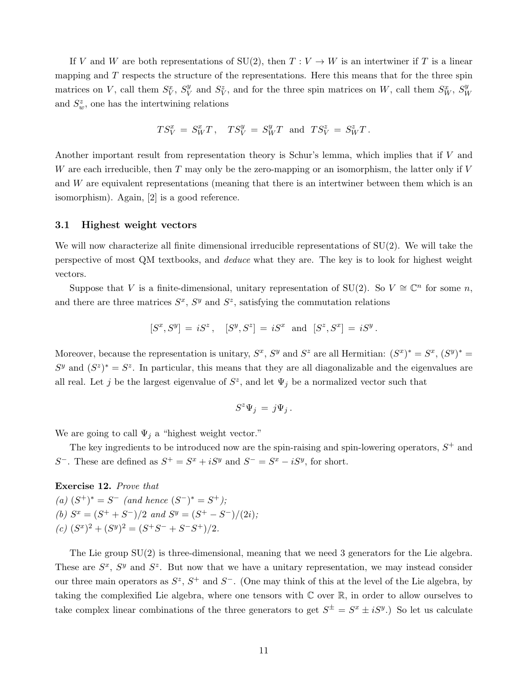If V and W are both representations of  $SU(2)$ , then  $T: V \to W$  is an intertwiner if T is a linear mapping and T respects the structure of the representations. Here this means that for the three spin matrices on V, call them  $S_V^x$ ,  $S_V^y$  $V$  and  $S_V^z$ , and for the three spin matrices on W, call them  $S_W^x$ ,  $S_V^y$ W and  $S_w^z$ , one has the intertwining relations

$$
TS_V^x = S_W^x T, \quad TS_V^y = S_W^y T \text{ and } TS_V^z = S_W^z T.
$$

Another important result from representation theory is Schur's lemma, which implies that if V and W are each irreducible, then  $T$  may only be the zero-mapping or an isomorphism, the latter only if  $V$ and W are equivalent representations (meaning that there is an intertwiner between them which is an isomorphism). Again, [2] is a good reference.

### 3.1 Highest weight vectors

We will now characterize all finite dimensional irreducible representations of SU(2). We will take the perspective of most QM textbooks, and deduce what they are. The key is to look for highest weight vectors.

Suppose that V is a finite-dimensional, unitary representation of SU(2). So  $V \cong \mathbb{C}^n$  for some n, and there are three matrices  $S^x$ ,  $S^y$  and  $S^z$ , satisfying the commutation relations

$$
[S^x, S^y] = iS^z
$$
,  $[S^y, S^z] = iS^x$  and  $[S^z, S^x] = iS^y$ .

Moreover, because the representation is unitary,  $S^x$ ,  $S^y$  and  $S^z$  are all Hermitian:  $(S^x)^* = S^x$ ,  $(S^y)^* =$  $S<sup>y</sup>$  and  $(S<sup>z</sup>)<sup>*</sup> = S<sup>z</sup>$ . In particular, this means that they are all diagonalizable and the eigenvalues are all real. Let j be the largest eigenvalue of  $S^z$ , and let  $\Psi_j$  be a normalized vector such that

$$
S^z \Psi_j = j \Psi_j.
$$

We are going to call  $\Psi_j$  a "highest weight vector."

The key ingredients to be introduced now are the spin-raising and spin-lowering operators,  $S^+$  and S<sup>-</sup>. These are defined as  $S^+ = S^x + iS^y$  and  $S^- = S^x - iS^y$ , for short.

Exercise 12. Prove that (a)  $(S^+)^* = S^-$  (and hence  $(S^-)^* = S^+$ ); (b)  $S^x = (S^+ + S^-)/2$  and  $S^y = (S^+ - S^-)/(2i)$ ;  $(c) (S^x)^2 + (S^y)^2 = (S^+S^- + S^-S^+)/2.$ 

The Lie group SU(2) is three-dimensional, meaning that we need 3 generators for the Lie algebra. These are  $S^x$ ,  $S^y$  and  $S^z$ . But now that we have a unitary representation, we may instead consider our three main operators as  $S^z$ ,  $S^+$  and  $S^-$ . (One may think of this at the level of the Lie algebra, by taking the complexified Lie algebra, where one tensors with C over R, in order to allow ourselves to take complex linear combinations of the three generators to get  $S^{\pm} = S^x \pm iS^y$ .) So let us calculate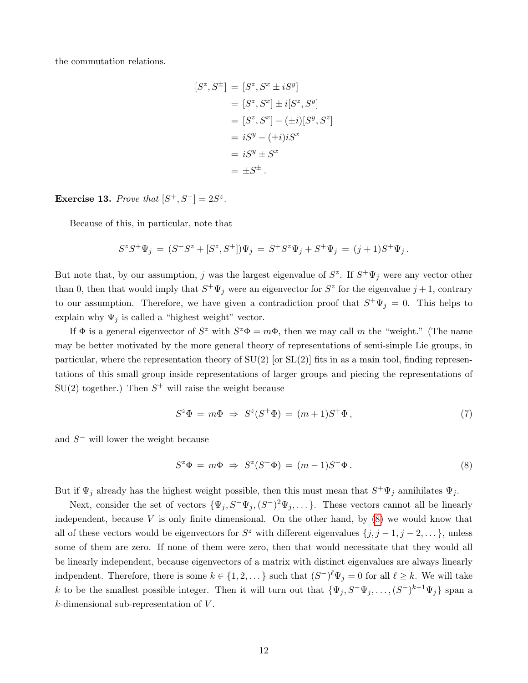the commutation relations.

$$
[S^z, S^{\pm}] = [S^z, S^x \pm iS^y]
$$
  
\n
$$
= [S^z, S^x] \pm i[S^z, S^y]
$$
  
\n
$$
= [S^z, S^x] - (\pm i)[S^y, S^z]
$$
  
\n
$$
= iS^y - (\pm i)iS^x
$$
  
\n
$$
= iS^y \pm S^x
$$
  
\n
$$
= \pm S^{\pm}.
$$

Exercise 13. Prove that  $[S^+, S^-] = 2S^z$ .

Because of this, in particular, note that

$$
S^z S^+ \Psi_j = (S^+ S^z + [S^z, S^+]) \Psi_j = S^+ S^z \Psi_j + S^+ \Psi_j = (j+1)S^+ \Psi_j.
$$

But note that, by our assumption, j was the largest eigenvalue of  $S^z$ . If  $S^+\Psi_j$  were any vector other than 0, then that would imply that  $S^+\Psi_j$  were an eigenvector for  $S^z$  for the eigenvalue  $j+1$ , contrary to our assumption. Therefore, we have given a contradiction proof that  $S^+\Psi_j = 0$ . This helps to explain why  $\Psi_i$  is called a "highest weight" vector.

If  $\Phi$  is a general eigenvector of  $S^z$  with  $S^z \Phi = m\Phi$ , then we may call m the "weight." (The name may be better motivated by the more general theory of representations of semi-simple Lie groups, in particular, where the representation theory of  $SU(2)$  [or  $SL(2)$ ] fits in as a main tool, finding representations of this small group inside representations of larger groups and piecing the representations of  $SU(2)$  together.) Then  $S^+$  will raise the weight because

$$
S^z \Phi = m\Phi \Rightarrow S^z (S^+ \Phi) = (m+1)S^+ \Phi, \qquad (7)
$$

and  $S^-$  will lower the weight because

<span id="page-11-0"></span>
$$
S^z \Phi = m\Phi \Rightarrow S^z (S^- \Phi) = (m-1)S^- \Phi. \tag{8}
$$

But if  $\Psi_j$  already has the highest weight possible, then this must mean that  $S^+\Psi_j$  annihilates  $\Psi_j$ .

Next, consider the set of vectors  ${\{\Psi_j, S^-\Psi_j, (S^-)^2\Psi_j, \dots\}}$ . These vectors cannot all be linearly independent, because  $V$  is only finite dimensional. On the other hand, by  $(8)$  we would know that all of these vectors would be eigenvectors for  $S^z$  with different eigenvalues  $\{j, j-1, j-2, \dots\}$ , unless some of them are zero. If none of them were zero, then that would necessitate that they would all be linearly independent, because eigenvectors of a matrix with distinct eigenvalues are always linearly indpendent. Therefore, there is some  $k \in \{1, 2, \dots\}$  such that  $(S^-)^{\ell} \Psi_j = 0$  for all  $\ell \geq k$ . We will take k to be the smallest possible integer. Then it will turn out that  $\{\Psi_j, S^-\Psi_j, \ldots, (S^-)^{k-1}\Psi_j\}$  span a  $k$ -dimensional sub-representation of  $V$ .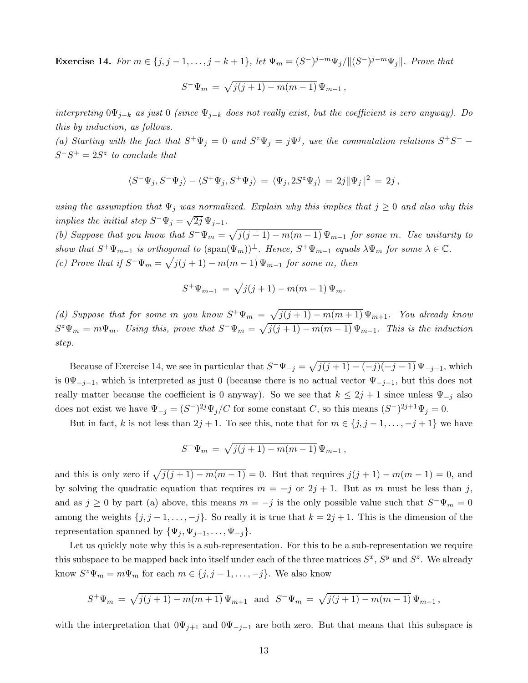**Exercise 14.** For  $m \in \{j, j-1, ..., j-k+1\}$ , let  $\Psi_m = (S^-)^{j-m} \Psi_j / ||(S^-)^{j-m} \Psi_j ||$ . Prove that

$$
S^{-}\Psi_{m} = \sqrt{j(j+1) - m(m-1)}\Psi_{m-1},
$$

interpreting  $0\Psi_{j-k}$  as just 0 (since  $\Psi_{j-k}$  does not really exist, but the coefficient is zero anyway). Do this by induction, as follows.

(a) Starting with the fact that  $S^+\Psi_j = 0$  and  $S^z\Psi_j = j\Psi^j$ , use the commutation relations  $S^+S^ S^-S^+=2S^z$  to conclude that

$$
\langle S^-\Psi_j,S^-\Psi_j\rangle-\langle S^+\Psi_j,S^+\Psi_j\rangle\,=\,\langle\Psi_j,2S^z\Psi_j\rangle\,=\,2j\|\Psi_j\|^2\,=\,2j\,,
$$

using the assumption that  $\Psi_j$  was normalized. Explain why this implies that  $j \geq 0$  and also why this implies the initial step  $S^-\Psi_j = \sqrt{\frac{S^+ \Psi_j}{S^+ \Psi_j}}$  $\overline{2j}\,\Psi_{j-1}.$ 

(b) Suppose that you know that  $S^-\Psi_m = \sqrt{j(j+1) - m(m-1)} \Psi_{m-1}$  for some m. Use unitarity to show that  $S^+\Psi_{m-1}$  is orthogonal to  $(\text{span}(\Psi_m))^{\perp}$ . Hence,  $S^+\Psi_{m-1}$  equals  $\lambda\Psi_m$  for some  $\lambda \in \mathbb{C}$ . (c) Prove that if  $S^-\Psi_m = \sqrt{j(j+1) - m(m-1)} \Psi_{m-1}$  for some m, then

$$
S^+\Psi_{m-1} = \sqrt{j(j+1) - m(m-1)} \Psi_m.
$$

(d) Suppose that for some m you know  $S^+\Psi_m = \sqrt{j(j+1) - m(m+1)} \Psi_{m+1}$ . You already know  $S^z \Psi_m = m \Psi_m$ . Using this, prove that  $S^- \Psi_m = \sqrt{j(j+1) - m(m-1)} \Psi_{m-1}$ . This is the induction step.

Because of Exercise 14, we see in particular that  $S^-\Psi_{-j} = \sqrt{j(j+1) - (-j)(-j-1)} \Psi_{-j-1}$ , which is  $0\Psi_{-j-1}$ , which is interpreted as just 0 (because there is no actual vector  $\Psi_{-j-1}$ , but this does not really matter because the coefficient is 0 anyway). So we see that  $k \leq 2j + 1$  since unless  $\Psi_{-j}$  also does not exist we have  $\Psi_{-j} = (S^-)^{2j} \Psi_j / C$  for some constant C, so this means  $(S^-)^{2j+1} \Psi_j = 0$ .

But in fact, k is not less than  $2j + 1$ . To see this, note that for  $m \in \{j, j - 1, \ldots, -j + 1\}$  we have

$$
S^{-}\Psi_{m} = \sqrt{j(j+1) - m(m-1)} \Psi_{m-1},
$$

and this is only zero if  $\sqrt{j(j + 1) - m(m - 1)} = 0$ . But that requires  $j(j + 1) - m(m - 1) = 0$ , and by solving the quadratic equation that requires  $m = -j$  or  $2j + 1$ . But as m must be less than j, and as  $j \geq 0$  by part (a) above, this means  $m = -j$  is the only possible value such that  $S^{\dagger} \Psi_m = 0$ among the weights  $\{j, j-1, \ldots, -j\}$ . So really it is true that  $k = 2j + 1$ . This is the dimension of the representation spanned by  $\{\Psi_j, \Psi_{j-1}, \ldots, \Psi_{-j}\}.$ 

Let us quickly note why this is a sub-representation. For this to be a sub-representation we require this subspace to be mapped back into itself under each of the three matrices  $S^x$ ,  $S^y$  and  $S^z$ . We already know  $S^z \Psi_m = m \Psi_m$  for each  $m \in \{j, j-1, \ldots, -j\}$ . We also know

$$
S^+\Psi_m = \sqrt{j(j+1) - m(m+1)} \Psi_{m+1} \text{ and } S^-\Psi_m = \sqrt{j(j+1) - m(m-1)} \Psi_{m-1},
$$

with the interpretation that  $0\Psi_{j+1}$  and  $0\Psi_{-j-1}$  are both zero. But that means that this subspace is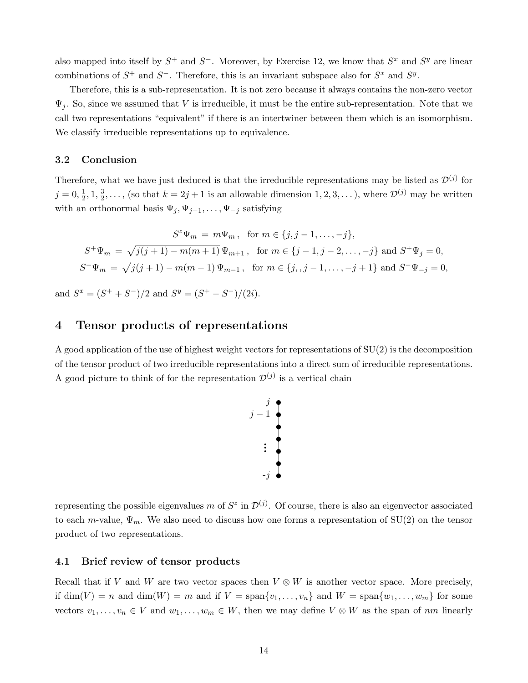also mapped into itself by  $S^+$  and  $S^-$ . Moreover, by Exercise 12, we know that  $S^x$  and  $S^y$  are linear combinations of  $S^+$  and  $S^-$ . Therefore, this is an invariant subspace also for  $S^x$  and  $S^y$ .

Therefore, this is a sub-representation. It is not zero because it always contains the non-zero vector  $\Psi_i$ . So, since we assumed that V is irreducible, it must be the entire sub-representation. Note that we call two representations "equivalent" if there is an intertwiner between them which is an isomorphism. We classify irreducible representations up to equivalence.

### 3.2 Conclusion

Therefore, what we have just deduced is that the irreducible representations may be listed as  $\mathcal{D}^{(j)}$  for  $j = 0, \frac{1}{2}$  $\frac{1}{2}$ , 1,  $\frac{3}{2}$  $\frac{3}{2}, \ldots$ , (so that  $k = 2j + 1$  is an allowable dimension  $1, 2, 3, \ldots$  ), where  $\mathcal{D}^{(j)}$  may be written with an orthonormal basis  $\Psi_j, \Psi_{j-1}, \ldots, \Psi_{-j}$  satisfying

$$
S^{z}\Psi_{m} = m\Psi_{m}, \text{ for } m \in \{j, j-1, \dots, -j\},
$$
  

$$
S^{+}\Psi_{m} = \sqrt{j(j+1) - m(m+1)} \Psi_{m+1}, \text{ for } m \in \{j-1, j-2, \dots, -j\} \text{ and } S^{+}\Psi_{j} = 0,
$$
  

$$
S^{-}\Psi_{m} = \sqrt{j(j+1) - m(m-1)} \Psi_{m-1}, \text{ for } m \in \{j, j-1, \dots, -j+1\} \text{ and } S^{-}\Psi_{-j} = 0,
$$

and  $S^x = (S^+ + S^-)/2$  and  $S^y = (S^+ - S^-)/(2i)$ .

# 4 Tensor products of representations

A good application of the use of highest weight vectors for representations of  $SU(2)$  is the decomposition of the tensor product of two irreducible representations into a direct sum of irreducible representations. A good picture to think of for the representation  $\mathcal{D}^{(j)}$  is a vertical chain



representing the possible eigenvalues m of  $S^z$  in  $\mathcal{D}^{(j)}$ . Of course, there is also an eigenvector associated to each m-value,  $\Psi_m$ . We also need to discuss how one forms a representation of SU(2) on the tensor product of two representations.

### 4.1 Brief review of tensor products

Recall that if V and W are two vector spaces then  $V \otimes W$  is another vector space. More precisely, if  $\dim(V) = n$  and  $\dim(W) = m$  and if  $V = \text{span}\{v_1, \ldots, v_n\}$  and  $W = \text{span}\{w_1, \ldots, w_m\}$  for some vectors  $v_1, \ldots, v_n \in V$  and  $w_1, \ldots, w_m \in W$ , then we may define  $V \otimes W$  as the span of nm linearly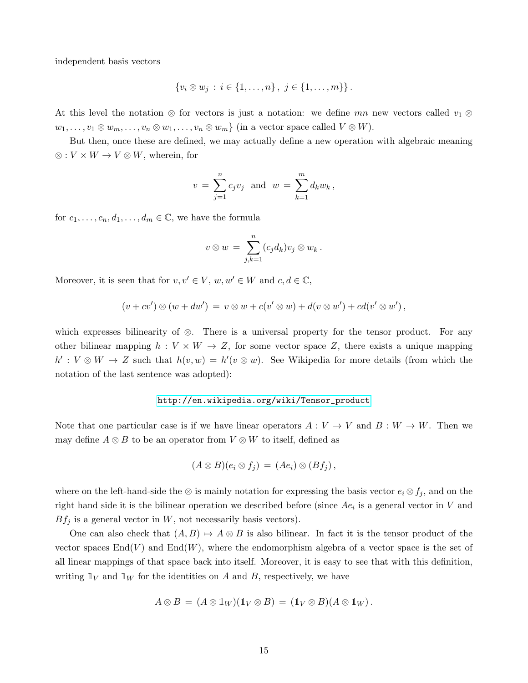independent basis vectors

$$
\{v_i \otimes w_j : i \in \{1, \ldots, n\}, j \in \{1, \ldots, m\}\}.
$$

At this level the notation ⊗ for vectors is just a notation: we define mn new vectors called  $v_1 \otimes$  $w_1, \ldots, v_1 \otimes w_m, \ldots, v_n \otimes w_1, \ldots, v_n \otimes w_m$  (in a vector space called  $V \otimes W$ ).

But then, once these are defined, we may actually define a new operation with algebraic meaning ⊗ :  $V \times W \rightarrow V \otimes W$ , wherein, for

$$
v = \sum_{j=1}^{n} c_j v_j
$$
 and  $w = \sum_{k=1}^{m} d_k w_k$ ,

for  $c_1, \ldots, c_n, d_1, \ldots, d_m \in \mathbb{C}$ , we have the formula

$$
v\otimes w\,=\,\sum_{j,k=1}^n(c_jd_k)v_j\otimes w_k\,.
$$

Moreover, it is seen that for  $v, v' \in V$ ,  $w, w' \in W$  and  $c, d \in \mathbb{C}$ ,

$$
(v+cv')\otimes (w+dw') = v\otimes w + c(v'\otimes w) + d(v\otimes w') + cd(v'\otimes w'),
$$

which expresses bilinearity of ⊗. There is a universal property for the tensor product. For any other bilinear mapping  $h: V \times W \to Z$ , for some vector space Z, there exists a unique mapping  $h': V \otimes W \to Z$  such that  $h(v, w) = h'(v \otimes w)$ . See Wikipedia for more details (from which the notation of the last sentence was adopted):

#### [http://en.wikipedia.org/wiki/Tensor\\_product](http://en.wikipedia.org/wiki/Tensor_product)

Note that one particular case is if we have linear operators  $A: V \to V$  and  $B: W \to W$ . Then we may define  $A \otimes B$  to be an operator from  $V \otimes W$  to itself, defined as

$$
(A \otimes B)(e_i \otimes f_j) = (Ae_i) \otimes (Bf_j),
$$

where on the left-hand-side the  $\otimes$  is mainly notation for expressing the basis vector  $e_i \otimes f_j$ , and on the right hand side it is the bilinear operation we described before (since  $Ae_i$  is a general vector in V and  $Bf_j$  is a general vector in W, not necessarily basis vectors).

One can also check that  $(A, B) \mapsto A \otimes B$  is also bilinear. In fact it is the tensor product of the vector spaces  $\text{End}(V)$  and  $\text{End}(W)$ , where the endomorphism algebra of a vector space is the set of all linear mappings of that space back into itself. Moreover, it is easy to see that with this definition, writing  $\mathbb{1}_V$  and  $\mathbb{1}_W$  for the identities on A and B, respectively, we have

$$
A \otimes B = (A \otimes \mathbb{1}_W)(\mathbb{1}_V \otimes B) = (\mathbb{1}_V \otimes B)(A \otimes \mathbb{1}_W).
$$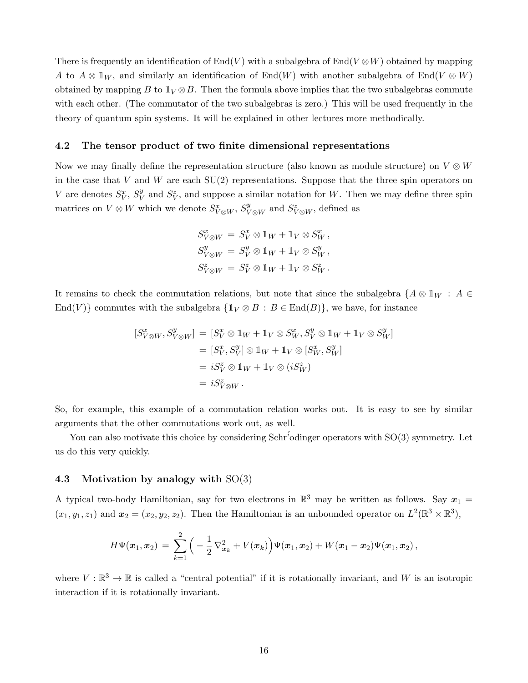There is frequently an identification of  $End(V)$  with a subalgebra of  $End(V \otimes W)$  obtained by mapping A to  $A \otimes \mathbb{1}_W$ , and similarly an identification of End(W) with another subalgebra of End(V  $\otimes$  W) obtained by mapping B to  $\mathbb{1}_V \otimes B$ . Then the formula above implies that the two subalgebras commute with each other. (The commutator of the two subalgebras is zero.) This will be used frequently in the theory of quantum spin systems. It will be explained in other lectures more methodically.

### 4.2 The tensor product of two finite dimensional representations

Now we may finally define the representation structure (also known as module structure) on  $V \otimes W$ in the case that  $V$  and  $W$  are each  $SU(2)$  representations. Suppose that the three spin operators on V are denotes  $S_V^x$ ,  $S_V^y$  $V$  and  $S_V^z$ , and suppose a similar notation for W. Then we may define three spin matrices on  $V \otimes W$  which we denote  $S_{V \otimes W}^{x}$ ,  $S_{V \otimes W}^{y}$  and  $S_{V \otimes W}^{z}$ , defined as

$$
S_{V \otimes W}^x = S_V^x \otimes 1_W + 1_V \otimes S_W^x,
$$
  
\n
$$
S_{V \otimes W}^y = S_V^y \otimes 1_W + 1_V \otimes S_W^y,
$$
  
\n
$$
S_{V \otimes W}^z = S_V^z \otimes 1_W + 1_V \otimes S_W^z.
$$

It remains to check the commutation relations, but note that since the subalgebra  $\{A\otimes \mathbb{1}_W : A \in$ End(V)} commutes with the subalgebra  $\{1_V \otimes B : B \in \text{End}(B)\}\)$ , we have, for instance

$$
[S_{V \otimes W}^x, S_{V \otimes W}^y] = [S_V^x \otimes 1_W + 1_V \otimes S_W^x, S_V^y \otimes 1_W + 1_V \otimes S_W^y]
$$
  
\n
$$
= [S_V^x, S_V^y] \otimes 1_W + 1_V \otimes [S_W^x, S_W^y]
$$
  
\n
$$
= iS_V^z \otimes 1_W + 1_V \otimes (iS_W^z)
$$
  
\n
$$
= iS_{V \otimes W}^z.
$$

So, for example, this example of a commutation relation works out. It is easy to see by similar arguments that the other commutations work out, as well.

You can also motivate this choice by considering  $Schr'$  odinger operators with  $SO(3)$  symmetry. Let us do this very quickly.

### 4.3 Motivation by analogy with SO(3)

A typical two-body Hamiltonian, say for two electrons in  $\mathbb{R}^3$  may be written as follows. Say  $x_1 =$  $(x_1, y_1, z_1)$  and  $\mathbf{x}_2 = (x_2, y_2, z_2)$ . Then the Hamiltonian is an unbounded operator on  $L^2(\mathbb{R}^3 \times \mathbb{R}^3)$ ,

$$
H\Psi(\boldsymbol{x}_1,\boldsymbol{x}_2) \,=\, \sum_{k=1}^2\Big(-\frac{1}{2}\,\nabla^2_{\boldsymbol{x}_k}+V(\boldsymbol{x}_k)\Big)\Psi(\boldsymbol{x}_1,\boldsymbol{x}_2)+W(\boldsymbol{x}_1-\boldsymbol{x}_2)\Psi(\boldsymbol{x}_1,\boldsymbol{x}_2)\,,
$$

where  $V : \mathbb{R}^3 \to \mathbb{R}$  is called a "central potential" if it is rotationally invariant, and W is an isotropic interaction if it is rotationally invariant.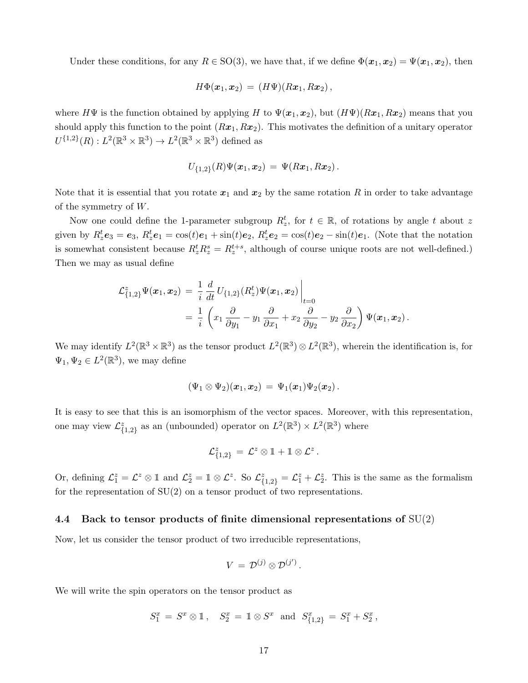Under these conditions, for any  $R \in SO(3)$ , we have that, if we define  $\Phi(\mathbf{x}_1, \mathbf{x}_2) = \Psi(\mathbf{x}_1, \mathbf{x}_2)$ , then

$$
H\Phi(\boldsymbol{x}_1,\boldsymbol{x}_2) = (H\Psi)(R\boldsymbol{x}_1,R\boldsymbol{x}_2)\,,
$$

where  $H\Psi$  is the function obtained by applying H to  $\Psi(x_1, x_2)$ , but  $(H\Psi)(Rx_1, Rx_2)$  means that you should apply this function to the point  $(Rx_1, Rx_2)$ . This motivates the definition of a unitary operator  $U^{\{1,2\}}(R): L^2(\mathbb{R}^3 \times \mathbb{R}^3) \to L^2(\mathbb{R}^3 \times \mathbb{R}^3)$  defined as

$$
U_{\{1,2\}}(R)\Psi(\boldsymbol{x}_1,\boldsymbol{x}_2) = \Psi(R\boldsymbol{x}_1,R\boldsymbol{x}_2).
$$

Note that it is essential that you rotate  $x_1$  and  $x_2$  by the same rotation R in order to take advantage of the symmetry of W.

Now one could define the 1-parameter subgroup  $R_z^t$ , for  $t \in \mathbb{R}$ , of rotations by angle t about z given by  $R_z^t e_3 = e_3$ ,  $R_z^t e_1 = \cos(t) e_1 + \sin(t) e_2$ ,  $R_z^t e_2 = \cos(t) e_2 - \sin(t) e_1$ . (Note that the notation is somewhat consistent because  $R_z^t R_z^s = R_z^{t+s}$ , although of course unique roots are not well-defined.) Then we may as usual define

$$
\mathcal{L}_{\{1,2\}}^z \Psi(\boldsymbol{x}_1, \boldsymbol{x}_2) = \frac{1}{i} \frac{d}{dt} U_{\{1,2\}}(R_z^t) \Psi(\boldsymbol{x}_1, \boldsymbol{x}_2) \Big|_{t=0}
$$
  
= 
$$
\frac{1}{i} \left( x_1 \frac{\partial}{\partial y_1} - y_1 \frac{\partial}{\partial x_1} + x_2 \frac{\partial}{\partial y_2} - y_2 \frac{\partial}{\partial x_2} \right) \Psi(\boldsymbol{x}_1, \boldsymbol{x}_2).
$$

We may identify  $L^2(\mathbb{R}^3 \times \mathbb{R}^3)$  as the tensor product  $L^2(\mathbb{R}^3) \otimes L^2(\mathbb{R}^3)$ , wherein the identification is, for  $\Psi_1, \Psi_2 \in L^2(\mathbb{R}^3)$ , we may define

$$
(\Psi_1\otimes\Psi_2)(\pmb{x}_1,\pmb{x}_2)\,=\,\Psi_1(\pmb{x}_1)\Psi_2(\pmb{x}_2)\,.
$$

It is easy to see that this is an isomorphism of the vector spaces. Moreover, with this representation, one may view  $\mathcal{L}_{\{1,2\}}^z$  as an (unbounded) operator on  $L^2(\mathbb{R}^3) \times L^2(\mathbb{R}^3)$  where

$$
\mathcal{L}^z_{\{1,2\}}\,=\,\mathcal{L}^z\otimes\mathbb{1}+\mathbb{1}\otimes\mathcal{L}^z
$$

.

Or, defining  $\mathcal{L}_1^z = \mathcal{L}^z \otimes \mathbb{1}$  and  $\mathcal{L}_2^z = \mathbb{1} \otimes \mathcal{L}^z$ . So  $\mathcal{L}_{\{1,2\}}^z = \mathcal{L}_1^z + \mathcal{L}_2^z$ . This is the same as the formalism for the representation of SU(2) on a tensor product of two representations.

### 4.4 Back to tensor products of finite dimensional representations of  $SU(2)$

Now, let us consider the tensor product of two irreducible representations,

$$
V\,=\,{\cal D}^{(j)}\otimes{\cal D}^{(j')}\,.
$$

We will write the spin operators on the tensor product as

$$
S_1^x = S^x \otimes \mathbb{1}, \quad S_2^x = \mathbb{1} \otimes S^x \text{ and } S_{\{1,2\}}^x = S_1^x + S_2^x,
$$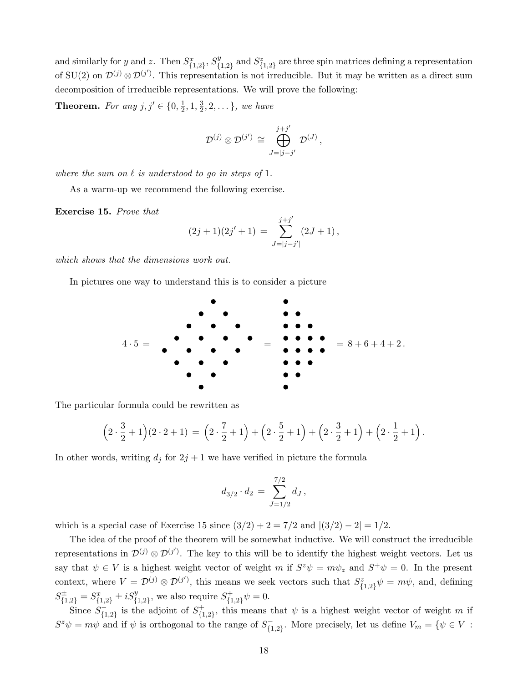and similarly for y and z. Then  $S_{\{1,2\}}^x$ ,  $S_{\{1,2\}}^y$  $S_{\{1,2\}}^{y}$  and  $S_{\{1,2\}}^{z}$  are three spin matrices defining a representation of SU(2) on  $\mathcal{D}^{(j)} \otimes \mathcal{D}^{(j')}$ . This representation is not irreducible. But it may be written as a direct sum decomposition of irreducible representations. We will prove the following:

**Theorem.** For any  $j, j' \in \{0, \frac{1}{2}\}$  $\frac{1}{2}$ , 1,  $\frac{3}{2}$  $\frac{3}{2}, 2, \ldots\}$ , we have

$$
\mathcal{D}^{(j)}\otimes \mathcal{D}^{(j')}\,\cong\,\bigoplus_{J=|j-j'|}^{j+j'}\mathcal{D}^{(J)}\,,
$$

where the sum on  $\ell$  is understood to go in steps of 1.

As a warm-up we recommend the following exercise.

Exercise 15. Prove that

$$
(2j+1)(2j'+1) = \sum_{J=|j-j'|}^{j+j'} (2J+1),
$$

which shows that the dimensions work out.

In pictures one way to understand this is to consider a picture



The particular formula could be rewritten as

$$
\left(2 \cdot \frac{3}{2} + 1\right) \left(2 \cdot 2 + 1\right) = \left(2 \cdot \frac{7}{2} + 1\right) + \left(2 \cdot \frac{5}{2} + 1\right) + \left(2 \cdot \frac{3}{2} + 1\right) + \left(2 \cdot \frac{1}{2} + 1\right).
$$

In other words, writing  $d_j$  for  $2j + 1$  we have verified in picture the formula

$$
d_{3/2} \cdot d_2 \,=\, \sum_{J=1/2}^{7/2} d_J\,,
$$

which is a special case of Exercise 15 since  $(3/2) + 2 = 7/2$  and  $|(3/2) - 2| = 1/2$ .

The idea of the proof of the theorem will be somewhat inductive. We will construct the irreducible representations in  $\mathcal{D}^{(j)} \otimes \mathcal{D}^{(j')}$ . The key to this will be to identify the highest weight vectors. Let us say that  $\psi \in V$  is a highest weight vector of weight m if  $S^z \psi = m \psi_z$  and  $S^+ \psi = 0$ . In the present context, where  $V = \mathcal{D}^{(j)} \otimes \mathcal{D}^{(j')}$ , this means we seek vectors such that  $S_{\{1,2\}}^z \psi = m\psi$ , and, defining  $S_{\{1,2\}}^{\pm} = S_{\{1,2\}}^x \pm iS_{\{1,2\}}^y$ , we also require  $S_{\{1\}}^+$  $\psi_{\{1,2\}}^{(+)}\psi=0.$ 

Since  $S_{\ell_1}^ \overline{\{1,2\}}$  is the adjoint of  $S_{\{1\}}^+$  ${+}_{\{1,2\}}$ , this means that  $\psi$  is a highest weight vector of weight m if  $S^z \psi = m\psi$  and if  $\psi$  is orthogonal to the range of  $S_{f_1}^ {\zeta}_{1,2}^-$ . More precisely, let us define  $V_m = \{ \psi \in V :$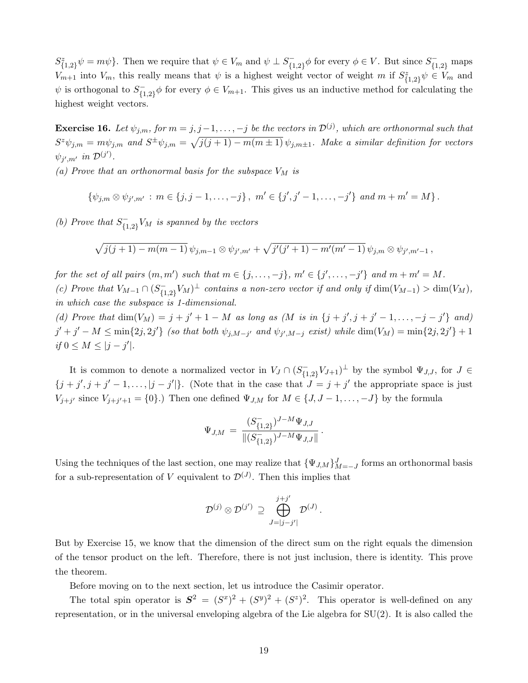$S_{\{1,2\}}^z \psi = m\psi\}.$  Then we require that  $\psi \in V_m$  and  $\psi \perp S_{\{1\}}^ \overline{\mathcal{F}}_{\{1,2\}}^-\phi$  for every  $\phi \in V$ . But since  $S_{\{1,2\}}^-$  maps  $V_{m+1}$  into  $V_m$ , this really means that  $\psi$  is a highest weight vector of weight m if  $S_{\{1,2\}}^z \psi \in V_m$  and  $\psi$  is orthogonal to  $S_{f_1}^ {1 \choose {1,2}}$   $\phi$  for every  $\phi \in V_{m+1}$ . This gives us an inductive method for calculating the highest weight vectors.

**Exercise 16.** Let  $\psi_{j,m}$ , for  $m = j, j-1, \ldots, -j$  be the vectors in  $\mathcal{D}^{(j)}$ , which are orthonormal such that  $S^z \psi_{j,m} = m \psi_{j,m}$  and  $S^{\pm} \psi_{j,m} = \sqrt{j(j+1) - m(m \pm 1)} \psi_{j,m \pm 1}$ . Make a similar definition for vectors  $\psi_{j',m'}$  in  $\mathcal{D}^{(j')}$ .

(a) Prove that an orthonormal basis for the subspace  $V_M$  is

$$
\{\psi_{j,m}\otimes\psi_{j',m'}\,:\,m\in\{j,j-1,\ldots,-j\}\,,\,\,m'\in\{j',j'-1,\ldots,-j'\}\,\,and\,\,m+m'=M\}\,.
$$

(b) Prove that  $S_{f_1}^ \mathcal{F}_{\{1,2\}}^{-V_M}$  is spanned by the vectors

$$
\sqrt{j(j+1)-m(m-1)}\,\psi_{j,m-1}\otimes\psi_{j',m'}+\sqrt{j'(j'+1)-m'(m'-1)}\,\psi_{j,m}\otimes\psi_{j',m'-1}\,,
$$

for the set of all pairs  $(m, m')$  such that  $m \in \{j, \ldots, -j\}$ ,  $m' \in \{j', \ldots, -j'\}$  and  $m + m' = M$ . (c) Prove that  $V_{M-1} \cap (S_{\{1\}})$  $\sum_{\{1,2\}} V_M$ <sup> $\perp$ </sup> contains a non-zero vector if and only if  $\dim(V_{M-1}) > \dim(V_M)$ , in which case the subspace is 1-dimensional.

(d) Prove that  $\dim(V_M) = j + j' + 1 - M$  as long as  $(M \text{ is in } \{j + j', j + j' - 1, ..., -j - j'\}$  and)  $j' + j' - M \leq \min\{2j, 2j'\}$  (so that both  $\psi_{j,M-j'}$  and  $\psi_{j',M-j}$  exist) while  $\dim(V_M) = \min\{2j, 2j'\} + 1$ if  $0 \leq M \leq |j - j'|$ .

It is common to denote a normalized vector in  $V_J \cap (S_{\{1\}})$  $\{1,2\}^{U}V_{J+1}$  by the symbol  $\Psi_{J,J}$ , for  $J \in$  $\{j + j', j + j' - 1, \ldots, |j - j'|\}$ . (Note that in the case that  $J = j + j'$  the appropriate space is just  $V_{j+j'}$  since  $V_{j+j'+1} = \{0\}$ .) Then one defined  $\Psi_{J,M}$  for  $M \in \{J, J-1, \ldots, -J\}$  by the formula

$$
\Psi_{J,M} = \frac{(S_{\{1,2\}}^{-})^{J-M} \Psi_{J,J}}{\| (S_{\{1,2\}}^{-})^{J-M} \Psi_{J,J} \|}.
$$

Using the techniques of the last section, one may realize that  $\{\Psi_{J,M}\}_{M=-J}^{J}$  forms an orthonormal basis for a sub-representation of V equivalent to  $\mathcal{D}^{(J)}$ . Then this implies that

$$
\mathcal{D}^{(j)}\otimes \mathcal{D}^{(j')}\,\supseteq\,\bigoplus_{J=|j-j'|}^{j+j'}\mathcal{D}^{(J)}\,.
$$

But by Exercise 15, we know that the dimension of the direct sum on the right equals the dimension of the tensor product on the left. Therefore, there is not just inclusion, there is identity. This prove the theorem.

Before moving on to the next section, let us introduce the Casimir operator.

The total spin operator is  $S^2 = (S^x)^2 + (S^y)^2 + (S^z)^2$ . This operator is well-defined on any representation, or in the universal enveloping algebra of the Lie algebra for  $SU(2)$ . It is also called the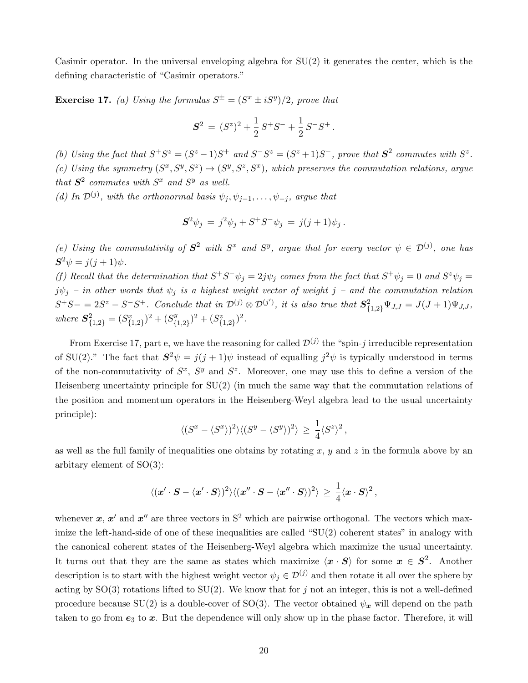Casimir operator. In the universal enveloping algebra for  $SU(2)$  it generates the center, which is the defining characteristic of "Casimir operators."

**Exercise 17.** (a) Using the formulas  $S^{\pm} = (S^x \pm iS^y)/2$ , prove that

$$
S^2 = (S^z)^2 + \frac{1}{2}S^+S^- + \frac{1}{2}S^-S^+.
$$

(b) Using the fact that  $S^+S^z = (S^z - 1)S^+$  and  $S^-S^z = (S^z + 1)S^-$ , prove that  $S^2$  commutes with  $S^z$ . (c) Using the symmetry  $(S^x, S^y, S^z) \mapsto (S^y, S^z, S^x)$ , which preserves the commutation relations, argue that  $S^2$  commutes with  $S^x$  and  $S^y$  as well.

(d) In  $\mathcal{D}^{(j)}$ , with the orthonormal basis  $\psi_j, \psi_{j-1}, \ldots, \psi_{-j}$ , argue that

$$
S^2 \psi_j = j^2 \psi_j + S^+ S^- \psi_j = j(j+1)\psi_j.
$$

(e) Using the commutativity of  $S^2$  with  $S^x$  and  $S^y$ , argue that for every vector  $\psi \in \mathcal{D}^{(j)}$ , one has  $S^2 \psi = j(j+1)\psi.$ 

(f) Recall that the determination that  $S^+S^-\psi_j = 2j\psi_j$  comes from the fact that  $S^+\psi_j = 0$  and  $S^z\psi_j = 0$  $j\psi_j$  – in other words that  $\psi_j$  is a highest weight vector of weight j – and the commutation relation  $S^+S- = 2S^z - S^-S^+$ . Conclude that in  $\mathcal{D}^{(j)} \otimes \mathcal{D}^{(j')}$ , it is also true that  $S^2_{\{1,2\}}\Psi_{J,J} = J(J+1)\Psi_{J,J}$ , where  $S^2_{\{1,2\}} = (S^x_{\{1,2\}})^2 + (S^y_{\{1,2\}})^2$  $({}^{y}_{\{1,2\}})^2 + ({}^{z}_{\{1,2\}})^2.$ 

From Exercise 17, part e, we have the reasoning for called  $\mathcal{D}^{(j)}$  the "spin-j irreducible representation of SU(2)." The fact that  $S^2 \psi = j(j+1)\psi$  instead of equalling  $j^2 \psi$  is typically understood in terms of the non-commutativity of  $S^x$ ,  $S^y$  and  $S^z$ . Moreover, one may use this to define a version of the Heisenberg uncertainty principle for SU(2) (in much the same way that the commutation relations of the position and momentum operators in the Heisenberg-Weyl algebra lead to the usual uncertainty principle):

$$
\langle (S^x - \langle S^x \rangle)^2 \rangle \langle (S^y - \langle S^y \rangle)^2 \rangle \geq \frac{1}{4} \langle S^z \rangle^2,
$$

as well as the full family of inequalities one obtains by rotating  $x, y$  and  $z$  in the formula above by an arbitary element of SO(3):

$$
\langle (\boldsymbol{x}'\cdot \boldsymbol{S} - \langle \boldsymbol{x}'\cdot \boldsymbol{S} \rangle )^2 \rangle \langle (\boldsymbol{x}''\cdot \boldsymbol{S} - \langle \boldsymbol{x}''\cdot \boldsymbol{S} \rangle )^2 \rangle \, \geq \, \frac{1}{4} \langle \boldsymbol{x}\cdot \boldsymbol{S} \rangle^2 \, ,
$$

whenever x, x' and x'' are three vectors in  $S^2$  which are pairwise orthogonal. The vectors which maximize the left-hand-side of one of these inequalities are called " $SU(2)$  coherent states" in analogy with the canonical coherent states of the Heisenberg-Weyl algebra which maximize the usual uncertainty. It turns out that they are the same as states which maximize  $\langle x \cdot S \rangle$  for some  $x \in S^2$ . Another description is to start with the highest weight vector  $\psi_i \in \mathcal{D}^{(j)}$  and then rotate it all over the sphere by acting by  $SO(3)$  rotations lifted to  $SU(2)$ . We know that for j not an integer, this is not a well-defined procedure because SU(2) is a double-cover of SO(3). The vector obtained  $\psi_x$  will depend on the path taken to go from  $e_3$  to  $x$ . But the dependence will only show up in the phase factor. Therefore, it will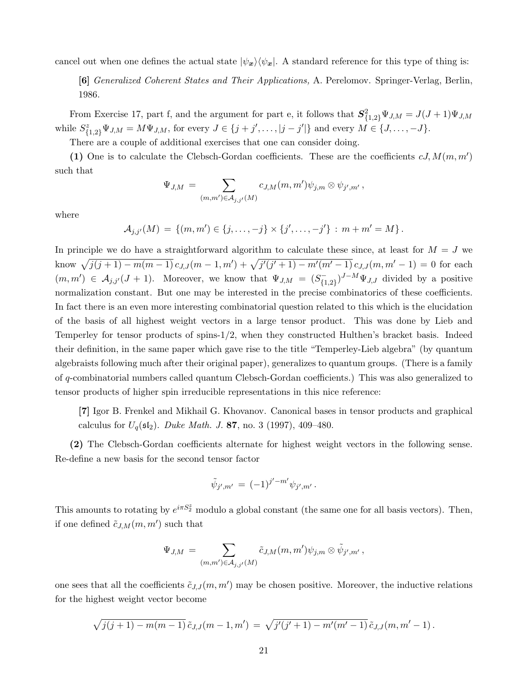cancel out when one defines the actual state  $|\psi_x\rangle\langle\psi_x|$ . A standard reference for this type of thing is:

[6] Generalized Coherent States and Their Applications, A. Perelomov. Springer-Verlag, Berlin, 1986.

From Exercise 17, part f, and the argument for part e, it follows that  $S_{\{1,2\}}^2 \Psi_{J,M} = J(J+1)\Psi_{J,M}$ while  $S^z_{\{1,2\}}\Psi_{J,M} = M\Psi_{J,M}$ , for every  $J \in \{j+j',\ldots,|j-j'|\}$  and every  $M \in \{J,\ldots,-J\}$ .

There are a couple of additional exercises that one can consider doing.

(1) One is to calculate the Clebsch-Gordan coefficients. These are the coefficients  $cJ, M(m, m')$ such that

$$
\Psi_{J,M} = \sum_{(m,m') \in \mathcal{A}_{j,j'}(M)} c_{J,M}(m,m') \psi_{j,m} \otimes \psi_{j',m'} ,
$$

where

 $\mathcal{A}_{j,j'}(M) = \{(m,m') \in \{j,\ldots,-j\} \times \{j',\ldots,-j'\} : m+m' = M\}.$ 

In principle we do have a straightforward algorithm to calculate these since, at least for  $M = J$  we know  $\sqrt{j(j+1) - m(m-1)} c_{J,J}(m-1,m') + \sqrt{j'(j'+1) - m'(m'-1)} c_{J,J}(m,m'-1) = 0$  for each  $(m, m') \in \mathcal{A}_{j,j'}(J+1)$ . Moreover, we know that  $\Psi_{J,M} = (S_{\{1\}})$  $\binom{-}{1,2}$ <sup> $J-M\Psi_{J,J}$ </sup> divided by a positive normalization constant. But one may be interested in the precise combinatorics of these coefficients. In fact there is an even more interesting combinatorial question related to this which is the elucidation of the basis of all highest weight vectors in a large tensor product. This was done by Lieb and Temperley for tensor products of spins-1/2, when they constructed Hulthen's bracket basis. Indeed their definition, in the same paper which gave rise to the title "Temperley-Lieb algebra" (by quantum algebraists following much after their original paper), generalizes to quantum groups. (There is a family of q-combinatorial numbers called quantum Clebsch-Gordan coefficients.) This was also generalized to tensor products of higher spin irreducible representations in this nice reference:

[7] Igor B. Frenkel and Mikhail G. Khovanov. Canonical bases in tensor products and graphical calculus for  $U_q(\mathfrak{sl}_2)$ . Duke Math. J. 87, no. 3 (1997), 409–480.

(2) The Clebsch-Gordan coefficients alternate for highest weight vectors in the following sense. Re-define a new basis for the second tensor factor

$$
\tilde{\psi}_{j',m'} = (-1)^{j'-m'} \psi_{j',m'}.
$$

This amounts to rotating by  $e^{i\pi S_2^z}$  modulo a global constant (the same one for all basis vectors). Then, if one defined  $\tilde{c}_{J,M}(m,m')$  such that

$$
\Psi_{J,M} = \sum_{(m,m')\in \mathcal{A}_{j,j'}(M)} \tilde{c}_{J,M}(m,m') \psi_{j,m} \otimes \tilde{\psi}_{j',m'} ,
$$

one sees that all the coefficients  $\tilde{c}_{J,J}(m, m')$  may be chosen positive. Moreover, the inductive relations for the highest weight vector become

$$
\sqrt{j(j+1)-m(m-1)}\,\tilde{c}_{J,J}(m-1,m')\,=\,\sqrt{j'(j'+1)-m'(m'-1)}\,\tilde{c}_{J,J}(m,m'-1)\,.
$$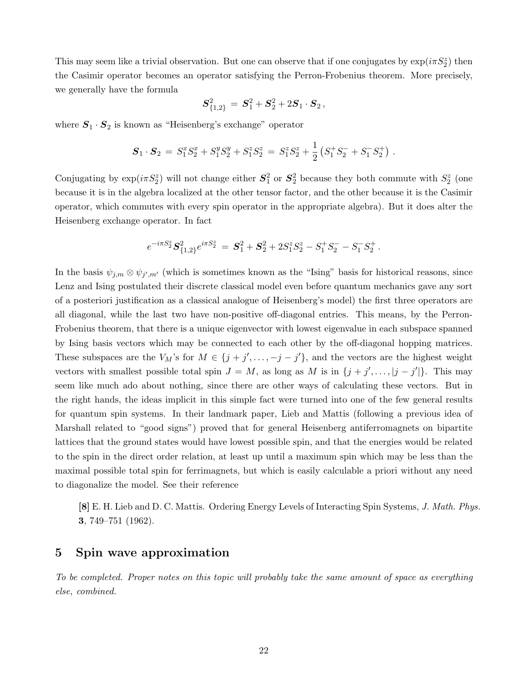This may seem like a trivial observation. But one can observe that if one conjugates by  $\exp(i\pi S_2^z)$  then the Casimir operator becomes an operator satisfying the Perron-Frobenius theorem. More precisely, we generally have the formula

$$
\bm{S}_{\{1,2\}}^2\,=\,\bm{S}_1^2+\bm{S}_2^2+2\bm{S}_1\cdot\bm{S}_2\,,
$$

where  $S_1 \cdot S_2$  is known as "Heisenberg's exchange" operator

$$
\mathbf{S}_1 \cdot \mathbf{S}_2 = S_1^x S_2^x + S_1^y S_2^y + S_1^z S_2^z = S_1^z S_2^z + \frac{1}{2} \left( S_1^+ S_2^- + S_1^- S_2^+ \right) .
$$

Conjugating by  $\exp(i\pi S_2^z)$  will not change either  $S_1^2$  or  $S_2^2$  because they both commute with  $S_2^z$  (one because it is in the algebra localized at the other tensor factor, and the other because it is the Casimir operator, which commutes with every spin operator in the appropriate algebra). But it does alter the Heisenberg exchange operator. In fact

$$
e^{-i\pi S^z_2} \mathbf{S}^2_{\{1,2\}} e^{i\pi S^z_2} \,=\, \mathbf{S}^2_1 + \mathbf{S}^2_2 + 2 S^z_1 S^z_2 - S^+_1 S^-_2 - S^-_1 S^+_2\,.
$$

In the basis  $\psi_{j,m} \otimes \psi_{j',m'}$  (which is sometimes known as the "Ising" basis for historical reasons, since Lenz and Ising postulated their discrete classical model even before quantum mechanics gave any sort of a posteriori justification as a classical analogue of Heisenberg's model) the first three operators are all diagonal, while the last two have non-positive off-diagonal entries. This means, by the Perron-Frobenius theorem, that there is a unique eigenvector with lowest eigenvalue in each subspace spanned by Ising basis vectors which may be connected to each other by the off-diagonal hopping matrices. These subspaces are the  $V_M$ 's for  $M \in \{j + j', \ldots, -j - j'\}$ , and the vectors are the highest weight vectors with smallest possible total spin  $J = M$ , as long as M is in  $\{j + j', \ldots, |j - j'|\}$ . This may seem like much ado about nothing, since there are other ways of calculating these vectors. But in the right hands, the ideas implicit in this simple fact were turned into one of the few general results for quantum spin systems. In their landmark paper, Lieb and Mattis (following a previous idea of Marshall related to "good signs") proved that for general Heisenberg antiferromagnets on bipartite lattices that the ground states would have lowest possible spin, and that the energies would be related to the spin in the direct order relation, at least up until a maximum spin which may be less than the maximal possible total spin for ferrimagnets, but which is easily calculable a priori without any need to diagonalize the model. See their reference

[8] E. H. Lieb and D. C. Mattis. Ordering Energy Levels of Interacting Spin Systems, J. Math. Phys. 3, 749–751 (1962).

# 5 Spin wave approximation

To be completed. Proper notes on this topic will probably take the same amount of space as everything else, combined.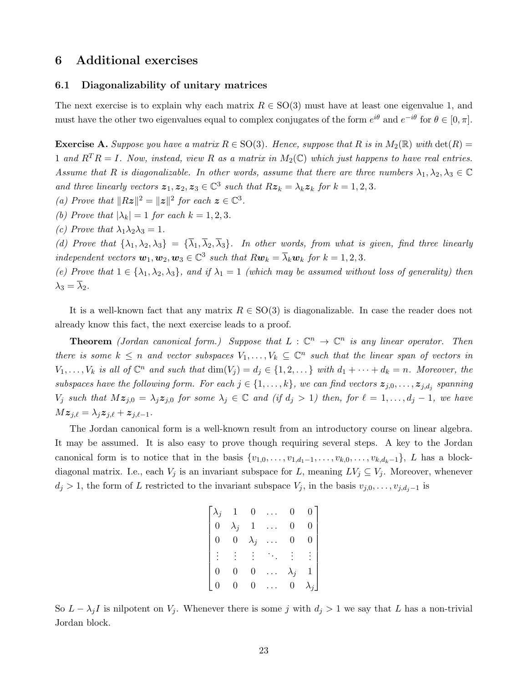### 6 Additional exercises

### 6.1 Diagonalizability of unitary matrices

The next exercise is to explain why each matrix  $R \in SO(3)$  must have at least one eigenvalue 1, and must have the other two eigenvalues equal to complex conjugates of the form  $e^{i\theta}$  and  $e^{-i\theta}$  for  $\theta \in [0, \pi]$ .

**Exercise A.** Suppose you have a matrix  $R \in SO(3)$ . Hence, suppose that R is in  $M_2(\mathbb{R})$  with  $\det(R)$ 1 and  $R^{T}R = I$ . Now, instead, view R as a matrix in  $M_2(\mathbb{C})$  which just happens to have real entries. Assume that R is diagonalizable. In other words, assume that there are three numbers  $\lambda_1, \lambda_2, \lambda_3 \in \mathbb{C}$ and three linearly vectors  $z_1, z_2, z_3 \in \mathbb{C}^3$  such that  $Rz_k = \lambda_k z_k$  for  $k = 1, 2, 3$ .

- (a) Prove that  $||Rz||^2 = ||z||^2$  for each  $z \in \mathbb{C}^3$ .
- (b) Prove that  $|\lambda_k| = 1$  for each  $k = 1, 2, 3$ .
- (c) Prove that  $\lambda_1 \lambda_2 \lambda_3 = 1$ .

(d) Prove that  $\{\lambda_1, \lambda_2, \lambda_3\} = \{\overline{\lambda}_1, \overline{\lambda}_2, \overline{\lambda}_3\}$ . In other words, from what is given, find three linearly independent vectors  $w_1, w_2, w_3 \in \mathbb{C}^3$  such that  $Rw_k = \overline{\lambda}_k w_k$  for  $k = 1, 2, 3$ .

(e) Prove that  $1 \in {\lambda_1, \lambda_2, \lambda_3}$ , and if  $\lambda_1 = 1$  (which may be assumed without loss of generality) then  $\lambda_3 = \lambda_2$ .

It is a well-known fact that any matrix  $R \in SO(3)$  is diagonalizable. In case the reader does not already know this fact, the next exercise leads to a proof.

**Theorem** (Jordan canonical form.) Suppose that  $L : \mathbb{C}^n \to \mathbb{C}^n$  is any linear operator. Then there is some  $k \leq n$  and vector subspaces  $V_1, \ldots, V_k \subseteq \mathbb{C}^n$  such that the linear span of vectors in  $V_1, \ldots, V_k$  is all of  $\mathbb{C}^n$  and such that  $\dim(V_j) = d_j \in \{1, 2, \ldots\}$  with  $d_1 + \cdots + d_k = n$ . Moreover, the subspaces have the following form. For each  $j \in \{1, \ldots, k\}$ , we can find vectors  $\bm{z}_{j,0}, \ldots, \bm{z}_{j,d_j}$  spanning  $V_j$  such that  $Mz_{j,0} = \lambda_j z_{j,0}$  for some  $\lambda_j \in \mathbb{C}$  and (if  $d_j > 1$ ) then, for  $\ell = 1, \ldots, d_j - 1$ , we have  $Mz_{j,\ell} = \lambda_j z_{j,\ell} + z_{j,\ell-1}.$ 

The Jordan canonical form is a well-known result from an introductory course on linear algebra. It may be assumed. It is also easy to prove though requiring several steps. A key to the Jordan canonical form is to notice that in the basis  $\{v_{1,0}, \ldots, v_{1,d_1-1}, \ldots, v_{k,0}, \ldots, v_{k,d_k-1}\}, L$  has a blockdiagonal matrix. I.e., each  $V_j$  is an invariant subspace for L, meaning  $LV_j \subseteq V_j$ . Moreover, whenever  $d_j > 1$ , the form of L restricted to the invariant subspace  $V_j$ , in the basis  $v_{j,0}, \ldots, v_{j,d_j-1}$  is

| $\lambda_j$    |                  | $\overline{0}$ | $\overline{0}$ |                 |
|----------------|------------------|----------------|----------------|-----------------|
| $\overline{0}$ | $\lambda_j$      | $\,$ 1 $\,$    | $\overline{0}$ |                 |
| $\overline{0}$ | $\boldsymbol{0}$ | $\lambda_j$    | $\overline{0}$ |                 |
|                |                  |                |                | $\frac{1}{2}$ . |
| $\overline{0}$ |                  | 0              | $\lambda_j$    |                 |
| $\overline{0}$ | $\boldsymbol{0}$ | 0              | $\overline{0}$ | $\lambda_i$     |

So  $L - \lambda_j I$  is nilpotent on  $V_j$ . Whenever there is some j with  $d_j > 1$  we say that L has a non-trivial Jordan block.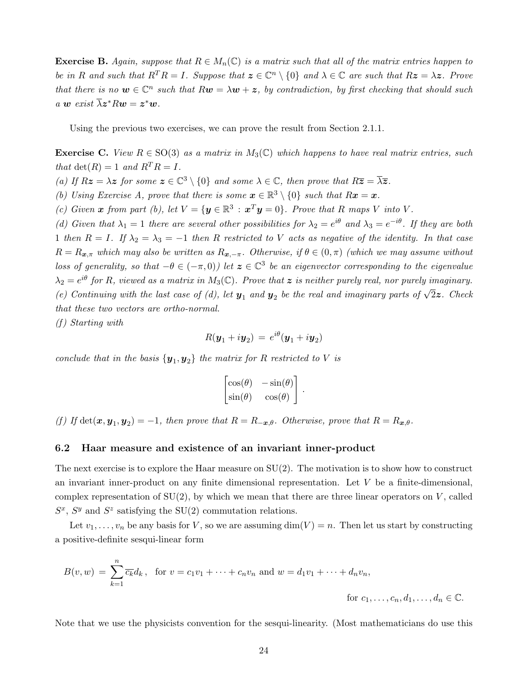**Exercise B.** Again, suppose that  $R \in M_n(\mathbb{C})$  is a matrix such that all of the matrix entries happen to be in R and such that  $R^T R = I$ . Suppose that  $\mathbf{z} \in \mathbb{C}^n \setminus \{0\}$  and  $\lambda \in \mathbb{C}$  are such that  $R\mathbf{z} = \lambda \mathbf{z}$ . Prove that there is no  $w \in \mathbb{C}^n$  such that  $Rw = \lambda w + z$ , by contradiction, by first checking that should such a w exist  $\overline{\lambda} z^* R w = z^* w$ .

Using the previous two exercises, we can prove the result from Section 2.1.1.

**Exercise C.** View  $R \in SO(3)$  as a matrix in  $M_3(\mathbb{C})$  which happens to have real matrix entries, such that  $\det(R) = 1$  and  $R^T R = I$ .

(a) If  $Rz = \lambda z$  for some  $z \in \mathbb{C}^3 \setminus \{0\}$  and some  $\lambda \in \mathbb{C}$ , then prove that  $R\overline{z} = \overline{\lambda z}$ .

(b) Using Exercise A, prove that there is some  $\mathbf{x} \in \mathbb{R}^3 \setminus \{0\}$  such that  $R\mathbf{x} = \mathbf{x}$ .

(c) Given x from part (b), let  $V = \{y \in \mathbb{R}^3 : x^T y = 0\}$ . Prove that R maps V into V.

(d) Given that  $\lambda_1 = 1$  there are several other possibilities for  $\lambda_2 = e^{i\theta}$  and  $\lambda_3 = e^{-i\theta}$ . If they are both 1 then  $R = I$ . If  $\lambda_2 = \lambda_3 = -1$  then R restricted to V acts as negative of the identity. In that case  $R = R_{x,\pi}$  which may also be written as  $R_{x,-\pi}$ . Otherwise, if  $\theta \in (0,\pi)$  (which we may assume without loss of generality, so that  $-\theta \in (-\pi, 0)$ ) let  $\boldsymbol{z} \in \mathbb{C}^3$  be an eigenvector corresponding to the eigenvalue  $\lambda_2 = e^{i\theta}$  for R, viewed as a matrix in  $M_3(\mathbb{C})$ . Prove that  $\boldsymbol{z}$  is neither purely real, nor purely imaginary. (e) Continuing with the last case of (d), let  $y_1$  and  $y_2$  be the real and imaginary parts of  $\sqrt{2}z$ . Check that these two vectors are ortho-normal.

 $(f)$  Starting with

$$
R(\boldsymbol{y}_1+i\boldsymbol{y}_2)\,=\,e^{i\theta}(\boldsymbol{y}_1+i\boldsymbol{y}_2)
$$

conclude that in the basis  $\{y_1, y_2\}$  the matrix for R restricted to V is

$$
\begin{bmatrix}\n\cos(\theta) & -\sin(\theta) \\
\sin(\theta) & \cos(\theta)\n\end{bmatrix}.
$$

(f) If  $\det(\mathbf{x}, \mathbf{y}_1, \mathbf{y}_2) = -1$ , then prove that  $R = R_{-\mathbf{x},\theta}$ . Otherwise, prove that  $R = R_{\mathbf{x},\theta}$ .

### 6.2 Haar measure and existence of an invariant inner-product

The next exercise is to explore the Haar measure on  $SU(2)$ . The motivation is to show how to construct an invariant inner-product on any finite dimensional representation. Let V be a finite-dimensional, complex representation of  $SU(2)$ , by which we mean that there are three linear operators on V, called  $S^x$ ,  $S^y$  and  $S^z$  satisfying the SU(2) commutation relations.

Let  $v_1, \ldots, v_n$  be any basis for V, so we are assuming  $\dim(V) = n$ . Then let us start by constructing a positive-definite sesqui-linear form

$$
B(v, w) = \sum_{k=1}^{n} \overline{c_k} d_k, \text{ for } v = c_1 v_1 + \dots + c_n v_n \text{ and } w = d_1 v_1 + \dots + d_n v_n,
$$
  
for  $c_1, \dots, c_n, d_1, \dots, d_n \in \mathbb{C}.$ 

Note that we use the physicists convention for the sesqui-linearity. (Most mathematicians do use this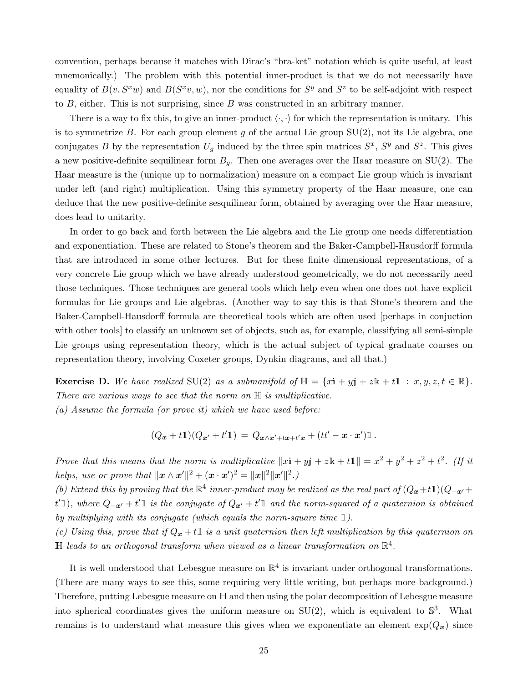convention, perhaps because it matches with Dirac's "bra-ket" notation which is quite useful, at least mnemonically.) The problem with this potential inner-product is that we do not necessarily have equality of  $B(v, S^x w)$  and  $B(S^x v, w)$ , nor the conditions for  $S^y$  and  $S^z$  to be self-adjoint with respect to  $B$ , either. This is not surprising, since  $B$  was constructed in an arbitrary manner.

There is a way to fix this, to give an inner-product  $\langle \cdot, \cdot \rangle$  for which the representation is unitary. This is to symmetrize  $B$ . For each group element  $g$  of the actual Lie group  $SU(2)$ , not its Lie algebra, one conjugates B by the representation  $U_g$  induced by the three spin matrices  $S^x$ ,  $S^y$  and  $S^z$ . This gives a new positive-definite sequilinear form  $B_g$ . Then one averages over the Haar measure on SU(2). The Haar measure is the (unique up to normalization) measure on a compact Lie group which is invariant under left (and right) multiplication. Using this symmetry property of the Haar measure, one can deduce that the new positive-definite sesquilinear form, obtained by averaging over the Haar measure, does lead to unitarity.

In order to go back and forth between the Lie algebra and the Lie group one needs differentiation and exponentiation. These are related to Stone's theorem and the Baker-Campbell-Hausdorff formula that are introduced in some other lectures. But for these finite dimensional representations, of a very concrete Lie group which we have already understood geometrically, we do not necessarily need those techniques. Those techniques are general tools which help even when one does not have explicit formulas for Lie groups and Lie algebras. (Another way to say this is that Stone's theorem and the Baker-Campbell-Hausdorff formula are theoretical tools which are often used [perhaps in conjuction with other tools to classify an unknown set of objects, such as, for example, classifying all semi-simple Lie groups using representation theory, which is the actual subject of typical graduate courses on representation theory, involving Coxeter groups, Dynkin diagrams, and all that.)

**Exercise D.** We have realized SU(2) as a submanifold of  $\mathbb{H} = \{x\mathbf{i} + y\mathbf{j} + z\mathbf{k} + t\mathbf{l} : x, y, z, t \in \mathbb{R}\}.$ There are various ways to see that the norm on  $\mathbb H$  is multiplicative. (a) Assume the formula (or prove it) which we have used before:

$$
(Q_{\boldsymbol{x}}+t\mathbb{1})(Q_{\boldsymbol{x}'}+t'\mathbb{1})\,=\,Q_{\boldsymbol{x}\wedge\boldsymbol{x}'+t\boldsymbol{x}+t'\boldsymbol{x}}+(tt'-\boldsymbol{x}\cdot\boldsymbol{x}')\mathbb{1}\,.
$$

Prove that this means that the norm is multiplicative  $||x\mathbf{i} + y\mathbf{j} + z\mathbf{k} + t\mathbf{1}|| = x^2 + y^2 + z^2 + t^2$ . (If it helps, use or prove that  $\|\boldsymbol{x} \wedge \boldsymbol{x}'\|^2 + (\boldsymbol{x} \cdot \boldsymbol{x}')^2 = \|\boldsymbol{x}\|^2 \|\boldsymbol{x}'\|^2$ .

(b) Extend this by proving that the  $\mathbb{R}^4$  inner-product may be realized as the real part of  $(Q_x+t\mathbb{1})(Q_{-x}+$ t'1), where  $Q_{-\bm{x}'}+t'$  is the conjugate of  $Q_{\bm{x}'}+t'$  and the norm-squared of a quaternion is obtained by multiplying with its conjugate (which equals the norm-square time  $\mathbb{1}$ ).

(c) Using this, prove that if  $Q_x + t\mathbb{1}$  is a unit quaternion then left multiplication by this quaternion on  $\mathbb H$  leads to an orthogonal transform when viewed as a linear transformation on  $\mathbb R^4.$ 

It is well understood that Lebesgue measure on  $\mathbb{R}^4$  is invariant under orthogonal transformations. (There are many ways to see this, some requiring very little writing, but perhaps more background.) Therefore, putting Lebesgue measure on H and then using the polar decomposition of Lebesgue measure into spherical coordinates gives the uniform measure on  $SU(2)$ , which is equivalent to  $\mathbb{S}^3$ . What remains is to understand what measure this gives when we exponentiate an element  $\exp(Q_x)$  since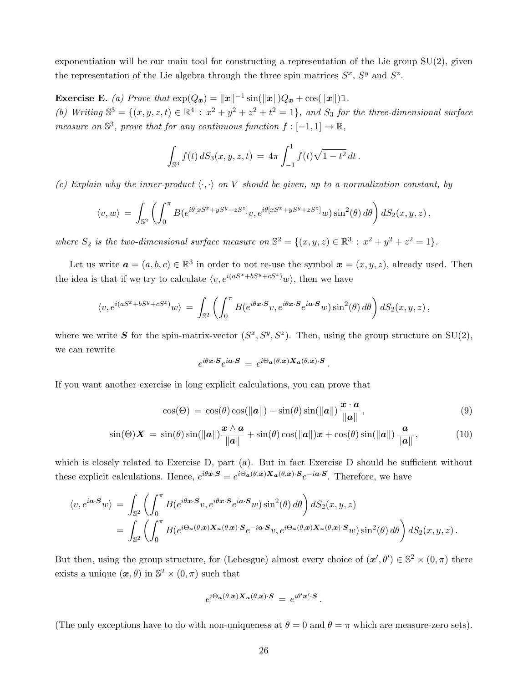exponentiation will be our main tool for constructing a representation of the Lie group SU(2), given the representation of the Lie algebra through the three spin matrices  $S^x$ ,  $S^y$  and  $S^z$ .

**Exercise E.** (a) Prove that  $\exp(Q_x) = ||x||^{-1} \sin(||x||)Q_x + \cos(||x||) \mathbb{1}$ . (b) Writing  $\mathbb{S}^3 = \{(x, y, z, t) \in \mathbb{R}^4 : x^2 + y^2 + z^2 + t^2 = 1\}$ , and  $S_3$  for the three-dimensional surface measure on  $\mathbb{S}^3$ , prove that for any continuous function  $f: [-1,1] \to \mathbb{R}$ ,

$$
\int_{\mathbb{S}^3} f(t) dS_3(x, y, z, t) = 4\pi \int_{-1}^1 f(t) \sqrt{1 - t^2} dt.
$$

(c) Explain why the inner-product  $\langle \cdot, \cdot \rangle$  on V should be given, up to a normalization constant, by

$$
\langle v, w \rangle = \int_{\mathbb{S}^2} \left( \int_0^{\pi} B(e^{i\theta [xS^x + yS^y + zS^z]} v, e^{i\theta [xS^x + yS^y + zS^z]} w) \sin^2(\theta) d\theta \right) dS_2(x, y, z),
$$

where  $S_2$  is the two-dimensional surface measure on  $\mathbb{S}^2 = \{(x, y, z) \in \mathbb{R}^3 : x^2 + y^2 + z^2 = 1\}.$ 

Let us write  $a = (a, b, c) \in \mathbb{R}^3$  in order to not re-use the symbol  $\boldsymbol{x} = (x, y, z)$ , already used. Then the idea is that if we try to calculate  $\langle v, e^{i(aS^x + bS^y + cS^z)}w \rangle$ , then we have

$$
\langle v, e^{i(aS^x + bS^y + cS^z)}w \rangle = \int_{\mathbb{S}^2} \left( \int_0^{\pi} B(e^{i\theta \mathbf{x} \cdot \mathbf{S}} v, e^{i\theta \mathbf{x} \cdot \mathbf{S}} e^{i\mathbf{a} \cdot \mathbf{S}} w) \sin^2(\theta) d\theta \right) dS_2(x, y, z),
$$

where we write S for the spin-matrix-vector  $(S^x, S^y, S^z)$ . Then, using the group structure on SU(2), we can rewrite

<span id="page-25-1"></span><span id="page-25-0"></span>
$$
e^{i\theta \mathbf{x}\cdot\mathbf{S}}e^{i\mathbf{a}\cdot\mathbf{S}} = e^{i\Theta_{\mathbf{a}}(\theta,\mathbf{x})\mathbf{X}_{\mathbf{a}}(\theta,\mathbf{x})\cdot\mathbf{S}}.
$$

If you want another exercise in long explicit calculations, you can prove that

$$
\cos(\Theta) = \cos(\theta)\cos(\|\boldsymbol{a}\|) - \sin(\theta)\sin(\|\boldsymbol{a}\|) \frac{\boldsymbol{x} \cdot \boldsymbol{a}}{\|\boldsymbol{a}\|},
$$
\n(9)

$$
\sin(\Theta) \mathbf{X} = \sin(\theta) \sin(\|\mathbf{a}\|) \frac{\mathbf{x} \wedge \mathbf{a}}{\|\mathbf{a}\|} + \sin(\theta) \cos(\|\mathbf{a}\|) \mathbf{x} + \cos(\theta) \sin(\|\mathbf{a}\|) \frac{\mathbf{a}}{\|\mathbf{a}\|},
$$
(10)

which is closely related to Exercise D, part (a). But in fact Exercise D should be sufficient without these explicit calculations. Hence,  $e^{i\theta x \cdot \mathbf{S}} = e^{i\Theta_{\mathbf{a}}(\theta, x) \cdot \mathbf{X}_{\mathbf{a}}(\theta, x) \cdot \mathbf{S}} e^{-i\mathbf{a} \cdot \mathbf{S}}$ . Therefore, we have

$$
\langle v, e^{i\mathbf{a}\cdot\mathbf{S}}w \rangle = \int_{\mathbb{S}^2} \left( \int_0^{\pi} B(e^{i\theta\mathbf{x}\cdot\mathbf{S}}v, e^{i\theta\mathbf{x}\cdot\mathbf{S}}e^{i\mathbf{a}\cdot\mathbf{S}}w) \sin^2(\theta) d\theta \right) dS_2(x, y, z)
$$
  
= 
$$
\int_{\mathbb{S}^2} \left( \int_0^{\pi} B(e^{i\Theta_{\mathbf{a}}(\theta, \mathbf{x})}\mathbf{X}_{\mathbf{a}}(\theta, \mathbf{x})\cdot\mathbf{S}_{e^{-i\mathbf{a}\cdot\mathbf{S}}}v, e^{i\Theta_{\mathbf{a}}(\theta, \mathbf{x})}\mathbf{X}_{\mathbf{a}}(\theta, \mathbf{x})\cdot\mathbf{S}_{w}) \sin^2(\theta) d\theta \right) dS_2(x, y, z).
$$

But then, using the group structure, for (Lebesgue) almost every choice of  $(x', \theta') \in \mathbb{S}^2 \times (0, \pi)$  there exists a unique  $(\boldsymbol{x}, \theta)$  in  $\mathbb{S}^2 \times (0, \pi)$  such that

$$
e^{i\Theta_{\mathbf{a}}(\theta,\mathbf{x})\mathbf{X}_{\mathbf{a}}(\theta,\mathbf{x})\cdot\mathbf{S}}\,=\,e^{i\theta'\mathbf{x}'\cdot\mathbf{S}}\,.
$$

(The only exceptions have to do with non-uniqueness at  $\theta = 0$  and  $\theta = \pi$  which are measure-zero sets).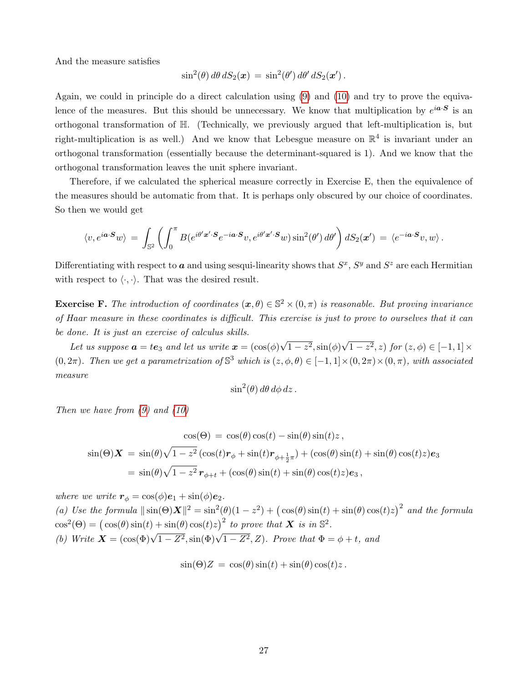And the measure satisfies

$$
\sin^2(\theta) d\theta dS_2(\boldsymbol{x}) = \sin^2(\theta') d\theta' dS_2(\boldsymbol{x}').
$$

Again, we could in principle do a direct calculation using [\(9\)](#page-25-0) and [\(10\)](#page-25-1) and try to prove the equivalence of the measures. But this should be unnecessary. We know that multiplication by  $e^{i\boldsymbol{a}\cdot\boldsymbol{S}}$  is an orthogonal transformation of H. (Technically, we previously argued that left-multiplication is, but right-multiplication is as well.) And we know that Lebesgue measure on  $\mathbb{R}^4$  is invariant under an orthogonal transformation (essentially because the determinant-squared is 1). And we know that the orthogonal transformation leaves the unit sphere invariant.

Therefore, if we calculated the spherical measure correctly in Exercise E, then the equivalence of the measures should be automatic from that. It is perhaps only obscured by our choice of coordinates. So then we would get

$$
\langle v, e^{i\boldsymbol{a}\cdot\boldsymbol{S}}w\rangle \,=\, \int_{\mathbb{S}^2}\left(\int_0^{\pi} B(e^{i\theta'\boldsymbol{x}'\cdot\boldsymbol{S}}e^{-i\boldsymbol{a}\cdot\boldsymbol{S}}v, e^{i\theta'\boldsymbol{x}'\cdot\boldsymbol{S}}w)\sin^2(\theta')\,d\theta'\right)dS_2(\boldsymbol{x}')\,=\,\langle e^{-i\boldsymbol{a}\cdot\boldsymbol{S}}v,w\rangle\,.
$$

Differentiating with respect to  $a$  and using sesqui-linearity shows that  $S^x$ ,  $S^y$  and  $S^z$  are each Hermitian with respect to  $\langle \cdot, \cdot \rangle$ . That was the desired result.

**Exercise F.** The introduction of coordinates  $(\mathbf{x}, \theta) \in \mathbb{S}^2 \times (0, \pi)$  is reasonable. But proving invariance of Haar measure in these coordinates is difficult. This exercise is just to prove to ourselves that it can be done. It is just an exercise of calculus skills. √ √

Let us suppose  $\boldsymbol{a} = t\boldsymbol{e}_3$  and let us write  $\boldsymbol{x} = (\cos(\phi))$  $\overline{1-z^2},\sin(\phi)$  $(1-z^2, z)$  for  $(z, \phi) \in [-1, 1] \times$  $(0, 2\pi)$ . Then we get a parametrization of  $\mathbb{S}^3$  which is  $(z, \phi, \theta) \in [-1, 1] \times (0, 2\pi) \times (0, \pi)$ , with associated measure

$$
\sin^2(\theta) d\theta d\phi dz.
$$

Then we have from [\(9\)](#page-25-0) and [\(10\)](#page-25-1)

$$
\cos(\Theta) = \cos(\theta)\cos(t) - \sin(\theta)\sin(t)z,
$$
  
\n
$$
\sin(\Theta)\mathbf{X} = \sin(\theta)\sqrt{1-z^2}(\cos(t)\mathbf{r}_{\phi} + \sin(t)\mathbf{r}_{\phi+\frac{1}{2}\pi}) + (\cos(\theta)\sin(t) + \sin(\theta)\cos(t)z)\mathbf{e}_3
$$
  
\n
$$
= \sin(\theta)\sqrt{1-z^2}\mathbf{r}_{\phi+t} + (\cos(\theta)\sin(t) + \sin(\theta)\cos(t)z)\mathbf{e}_3,
$$

where we write  $r_{\phi} = \cos(\phi) e_1 + \sin(\phi) e_2$ . (a) Use the formula  $\|\sin(\Theta)X\|^2 = \sin^2(\theta)(1-z^2) + (\cos(\theta)\sin(t) + \sin(\theta)\cos(t)z)^2$  and the formula  $\cos^2(\Theta) = (\cos(\theta)\sin(t) + \sin(\theta)\cos(t)z)^2$  to prove that **X** is in  $\mathbb{S}^2$ . (b) Write  $\mathbf{X} = (\cos(\Phi)\sqrt{1 - Z^2}, \sin(\Phi)\sqrt{1 - Z^2}, Z)$ . Prove that  $\Phi = \phi + t$ , and

$$
\sin(\Theta)Z = \cos(\theta)\sin(t) + \sin(\theta)\cos(t)z.
$$